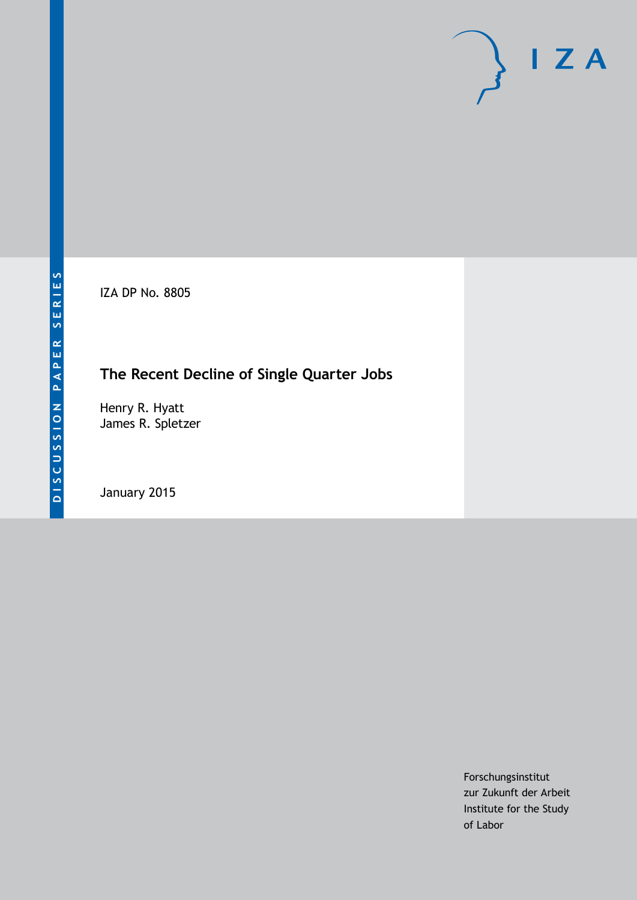IZA DP No. 8805

# **The Recent Decline of Single Quarter Jobs**

Henry R. Hyatt James R. Spletzer

January 2015

Forschungsinstitut zur Zukunft der Arbeit Institute for the Study of Labor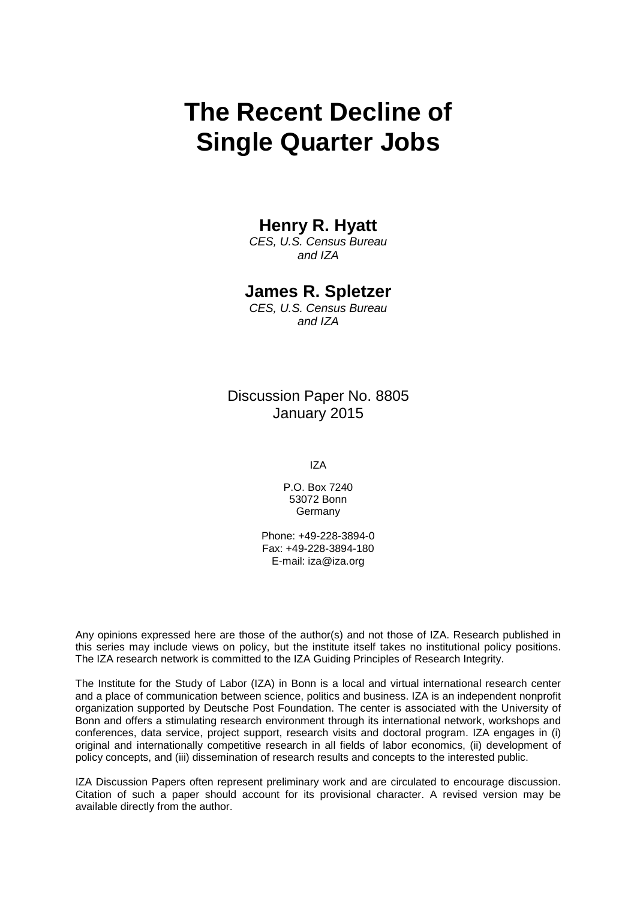# **The Recent Decline of Single Quarter Jobs**

### **Henry R. Hyatt**

*CES, U.S. Census Bureau and IZA*

### **James R. Spletzer**

*CES, U.S. Census Bureau and IZA*

Discussion Paper No. 8805 January 2015

IZA

P.O. Box 7240 53072 Bonn **Germany** 

Phone: +49-228-3894-0 Fax: +49-228-3894-180 E-mail: [iza@iza.org](mailto:iza@iza.org)

Any opinions expressed here are those of the author(s) and not those of IZA. Research published in this series may include views on policy, but the institute itself takes no institutional policy positions. The IZA research network is committed to the IZA Guiding Principles of Research Integrity.

The Institute for the Study of Labor (IZA) in Bonn is a local and virtual international research center and a place of communication between science, politics and business. IZA is an independent nonprofit organization supported by Deutsche Post Foundation. The center is associated with the University of Bonn and offers a stimulating research environment through its international network, workshops and conferences, data service, project support, research visits and doctoral program. IZA engages in (i) original and internationally competitive research in all fields of labor economics, (ii) development of policy concepts, and (iii) dissemination of research results and concepts to the interested public.

<span id="page-1-0"></span>IZA Discussion Papers often represent preliminary work and are circulated to encourage discussion. Citation of such a paper should account for its provisional character. A revised version may be available directly from the author.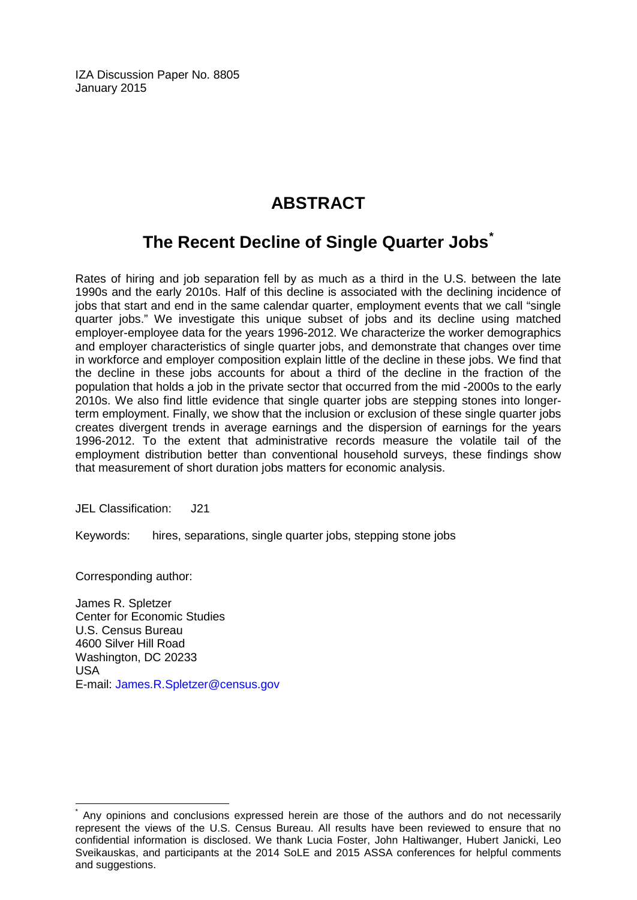IZA Discussion Paper No. 8805 January 2015

# **ABSTRACT**

## **The Recent Decline of Single Quarter Jobs[\\*](#page-1-0)**

Rates of hiring and job separation fell by as much as a third in the U.S. between the late 1990s and the early 2010s. Half of this decline is associated with the declining incidence of jobs that start and end in the same calendar quarter, employment events that we call "single quarter jobs." We investigate this unique subset of jobs and its decline using matched employer-employee data for the years 1996-2012. We characterize the worker demographics and employer characteristics of single quarter jobs, and demonstrate that changes over time in workforce and employer composition explain little of the decline in these jobs. We find that the decline in these jobs accounts for about a third of the decline in the fraction of the population that holds a job in the private sector that occurred from the mid -2000s to the early 2010s. We also find little evidence that single quarter jobs are stepping stones into longerterm employment. Finally, we show that the inclusion or exclusion of these single quarter jobs creates divergent trends in average earnings and the dispersion of earnings for the years 1996-2012. To the extent that administrative records measure the volatile tail of the employment distribution better than conventional household surveys, these findings show that measurement of short duration jobs matters for economic analysis.

JEL Classification: J21

Keywords: hires, separations, single quarter jobs, stepping stone jobs

Corresponding author:

James R. Spletzer Center for Economic Studies U.S. Census Bureau 4600 Silver Hill Road Washington, DC 20233 USA E-mail: [James.R.Spletzer@census.gov](mailto:James.R.Spletzer@census.gov)

Any opinions and conclusions expressed herein are those of the authors and do not necessarily represent the views of the U.S. Census Bureau. All results have been reviewed to ensure that no confidential information is disclosed. We thank Lucia Foster, John Haltiwanger, Hubert Janicki, Leo Sveikauskas, and participants at the 2014 SoLE and 2015 ASSA conferences for helpful comments and suggestions.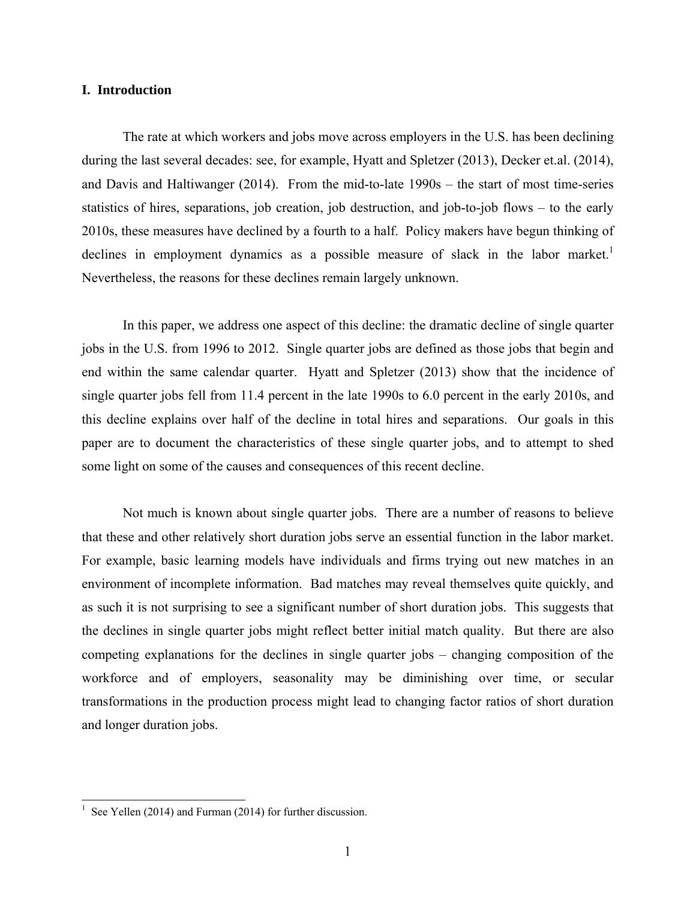#### **I. Introduction**

 The rate at which workers and jobs move across employers in the U.S. has been declining during the last several decades: see, for example, Hyatt and Spletzer (2013), Decker et.al. (2014), and Davis and Haltiwanger (2014). From the mid-to-late 1990s – the start of most time-series statistics of hires, separations, job creation, job destruction, and job-to-job flows – to the early 2010s, these measures have declined by a fourth to a half. Policy makers have begun thinking of declines in employment dynamics as a possible measure of slack in the labor market.<sup>1</sup> Nevertheless, the reasons for these declines remain largely unknown.

 In this paper, we address one aspect of this decline: the dramatic decline of single quarter jobs in the U.S. from 1996 to 2012. Single quarter jobs are defined as those jobs that begin and end within the same calendar quarter. Hyatt and Spletzer (2013) show that the incidence of single quarter jobs fell from 11.4 percent in the late 1990s to 6.0 percent in the early 2010s, and this decline explains over half of the decline in total hires and separations. Our goals in this paper are to document the characteristics of these single quarter jobs, and to attempt to shed some light on some of the causes and consequences of this recent decline.

 Not much is known about single quarter jobs. There are a number of reasons to believe that these and other relatively short duration jobs serve an essential function in the labor market. For example, basic learning models have individuals and firms trying out new matches in an environment of incomplete information. Bad matches may reveal themselves quite quickly, and as such it is not surprising to see a significant number of short duration jobs. This suggests that the declines in single quarter jobs might reflect better initial match quality. But there are also competing explanations for the declines in single quarter jobs – changing composition of the workforce and of employers, seasonality may be diminishing over time, or secular transformations in the production process might lead to changing factor ratios of short duration and longer duration jobs.

 $\overline{\phantom{a}}$ 

<sup>1</sup> See Yellen (2014) and Furman (2014) for further discussion.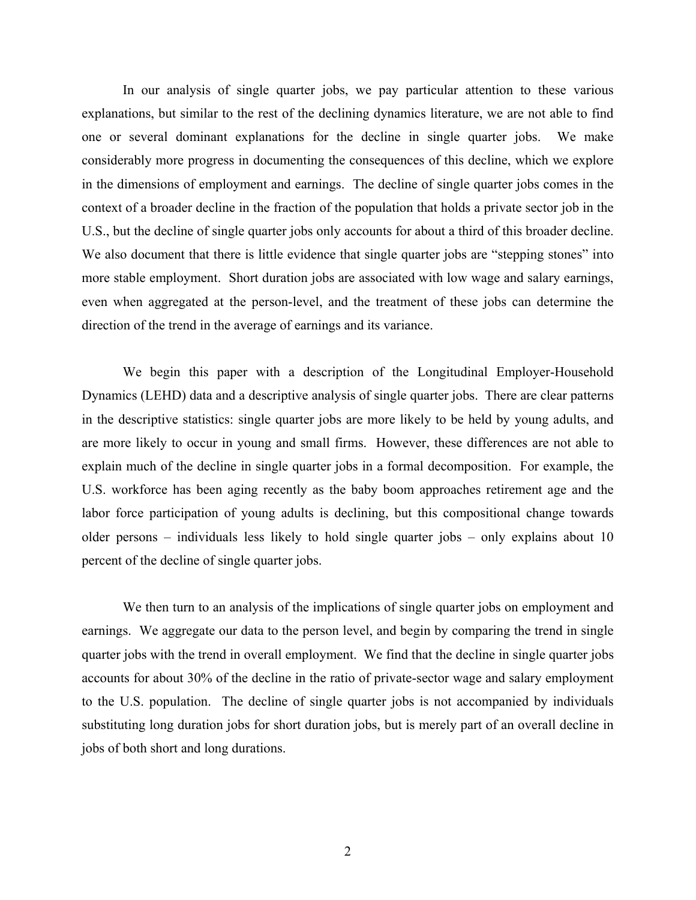In our analysis of single quarter jobs, we pay particular attention to these various explanations, but similar to the rest of the declining dynamics literature, we are not able to find one or several dominant explanations for the decline in single quarter jobs. We make considerably more progress in documenting the consequences of this decline, which we explore in the dimensions of employment and earnings. The decline of single quarter jobs comes in the context of a broader decline in the fraction of the population that holds a private sector job in the U.S., but the decline of single quarter jobs only accounts for about a third of this broader decline. We also document that there is little evidence that single quarter jobs are "stepping stones" into more stable employment. Short duration jobs are associated with low wage and salary earnings, even when aggregated at the person-level, and the treatment of these jobs can determine the direction of the trend in the average of earnings and its variance.

 We begin this paper with a description of the Longitudinal Employer-Household Dynamics (LEHD) data and a descriptive analysis of single quarter jobs. There are clear patterns in the descriptive statistics: single quarter jobs are more likely to be held by young adults, and are more likely to occur in young and small firms. However, these differences are not able to explain much of the decline in single quarter jobs in a formal decomposition. For example, the U.S. workforce has been aging recently as the baby boom approaches retirement age and the labor force participation of young adults is declining, but this compositional change towards older persons – individuals less likely to hold single quarter jobs – only explains about 10 percent of the decline of single quarter jobs.

We then turn to an analysis of the implications of single quarter jobs on employment and earnings. We aggregate our data to the person level, and begin by comparing the trend in single quarter jobs with the trend in overall employment. We find that the decline in single quarter jobs accounts for about 30% of the decline in the ratio of private-sector wage and salary employment to the U.S. population. The decline of single quarter jobs is not accompanied by individuals substituting long duration jobs for short duration jobs, but is merely part of an overall decline in jobs of both short and long durations.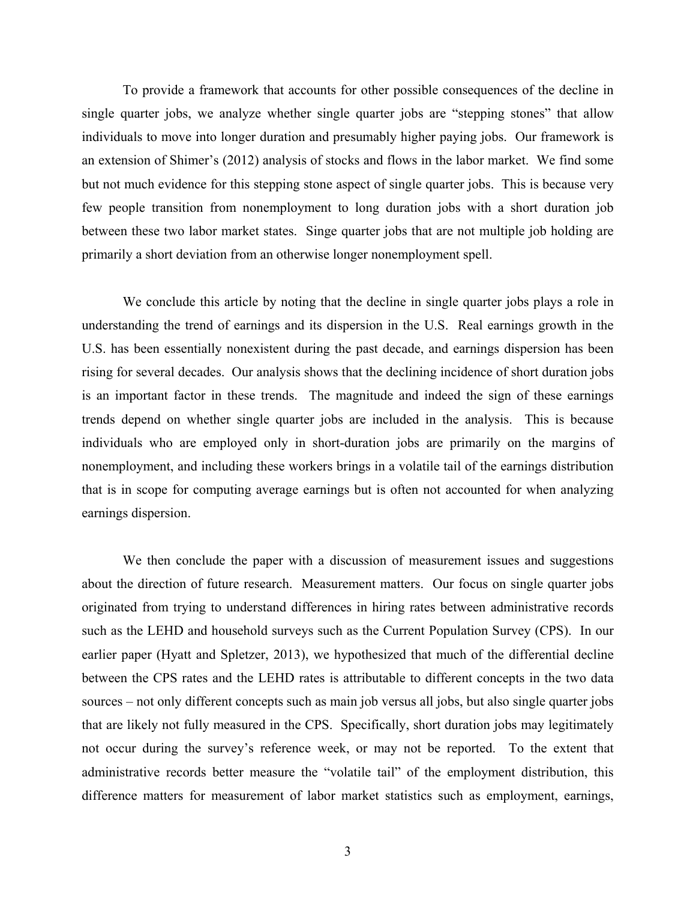To provide a framework that accounts for other possible consequences of the decline in single quarter jobs, we analyze whether single quarter jobs are "stepping stones" that allow individuals to move into longer duration and presumably higher paying jobs. Our framework is an extension of Shimer's (2012) analysis of stocks and flows in the labor market. We find some but not much evidence for this stepping stone aspect of single quarter jobs. This is because very few people transition from nonemployment to long duration jobs with a short duration job between these two labor market states. Singe quarter jobs that are not multiple job holding are primarily a short deviation from an otherwise longer nonemployment spell.

 We conclude this article by noting that the decline in single quarter jobs plays a role in understanding the trend of earnings and its dispersion in the U.S. Real earnings growth in the U.S. has been essentially nonexistent during the past decade, and earnings dispersion has been rising for several decades. Our analysis shows that the declining incidence of short duration jobs is an important factor in these trends. The magnitude and indeed the sign of these earnings trends depend on whether single quarter jobs are included in the analysis. This is because individuals who are employed only in short-duration jobs are primarily on the margins of nonemployment, and including these workers brings in a volatile tail of the earnings distribution that is in scope for computing average earnings but is often not accounted for when analyzing earnings dispersion.

 We then conclude the paper with a discussion of measurement issues and suggestions about the direction of future research. Measurement matters. Our focus on single quarter jobs originated from trying to understand differences in hiring rates between administrative records such as the LEHD and household surveys such as the Current Population Survey (CPS). In our earlier paper (Hyatt and Spletzer, 2013), we hypothesized that much of the differential decline between the CPS rates and the LEHD rates is attributable to different concepts in the two data sources – not only different concepts such as main job versus all jobs, but also single quarter jobs that are likely not fully measured in the CPS. Specifically, short duration jobs may legitimately not occur during the survey's reference week, or may not be reported. To the extent that administrative records better measure the "volatile tail" of the employment distribution, this difference matters for measurement of labor market statistics such as employment, earnings,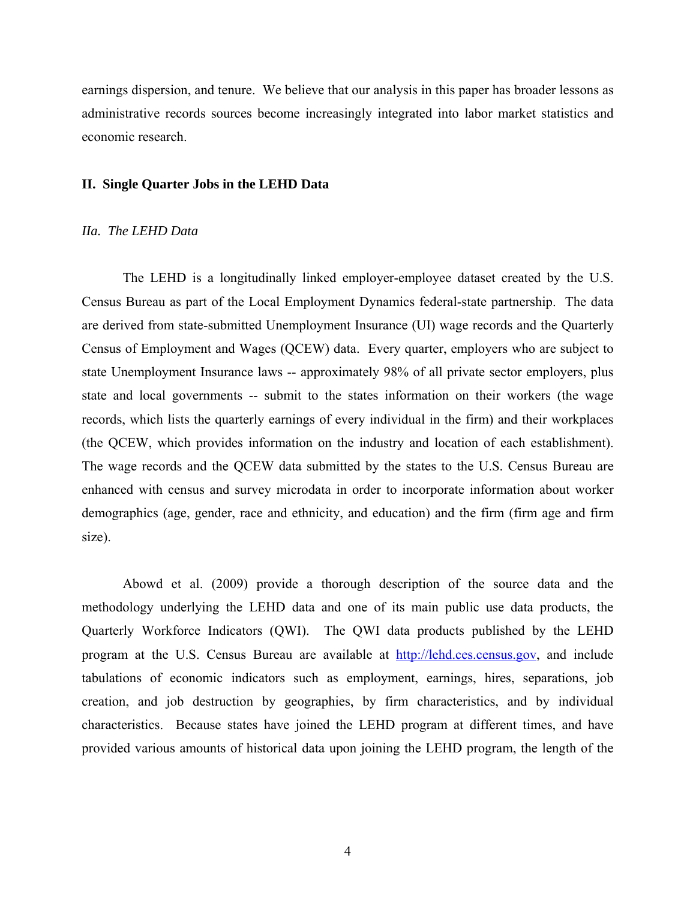earnings dispersion, and tenure. We believe that our analysis in this paper has broader lessons as administrative records sources become increasingly integrated into labor market statistics and economic research.

#### **II. Single Quarter Jobs in the LEHD Data**

#### *IIa. The LEHD Data*

 The LEHD is a longitudinally linked employer-employee dataset created by the U.S. Census Bureau as part of the Local Employment Dynamics federal-state partnership. The data are derived from state-submitted Unemployment Insurance (UI) wage records and the Quarterly Census of Employment and Wages (QCEW) data. Every quarter, employers who are subject to state Unemployment Insurance laws -- approximately 98% of all private sector employers, plus state and local governments -- submit to the states information on their workers (the wage records, which lists the quarterly earnings of every individual in the firm) and their workplaces (the QCEW, which provides information on the industry and location of each establishment). The wage records and the QCEW data submitted by the states to the U.S. Census Bureau are enhanced with census and survey microdata in order to incorporate information about worker demographics (age, gender, race and ethnicity, and education) and the firm (firm age and firm size).

 Abowd et al. (2009) provide a thorough description of the source data and the methodology underlying the LEHD data and one of its main public use data products, the Quarterly Workforce Indicators (QWI). The QWI data products published by the LEHD program at the U.S. Census Bureau are available at http://lehd.ces.census.gov, and include tabulations of economic indicators such as employment, earnings, hires, separations, job creation, and job destruction by geographies, by firm characteristics, and by individual characteristics. Because states have joined the LEHD program at different times, and have provided various amounts of historical data upon joining the LEHD program, the length of the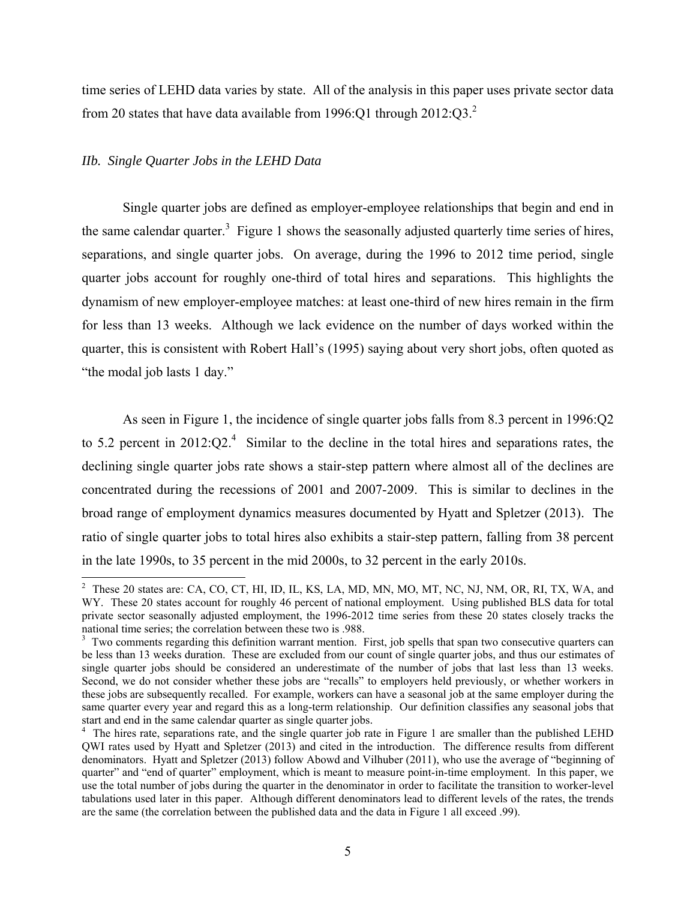time series of LEHD data varies by state. All of the analysis in this paper uses private sector data from 20 states that have data available from 1996:Q1 through  $2012:O3<sup>2</sup>$ .

#### *IIb. Single Quarter Jobs in the LEHD Data*

 Single quarter jobs are defined as employer-employee relationships that begin and end in the same calendar quarter.<sup>3</sup> Figure 1 shows the seasonally adjusted quarterly time series of hires, separations, and single quarter jobs. On average, during the 1996 to 2012 time period, single quarter jobs account for roughly one-third of total hires and separations. This highlights the dynamism of new employer-employee matches: at least one-third of new hires remain in the firm for less than 13 weeks. Although we lack evidence on the number of days worked within the quarter, this is consistent with Robert Hall's (1995) saying about very short jobs, often quoted as "the modal job lasts 1 day."

 As seen in Figure 1, the incidence of single quarter jobs falls from 8.3 percent in 1996:Q2 to 5.2 percent in  $2012:Q2<sup>4</sup>$  Similar to the decline in the total hires and separations rates, the declining single quarter jobs rate shows a stair-step pattern where almost all of the declines are concentrated during the recessions of 2001 and 2007-2009. This is similar to declines in the broad range of employment dynamics measures documented by Hyatt and Spletzer (2013). The ratio of single quarter jobs to total hires also exhibits a stair-step pattern, falling from 38 percent in the late 1990s, to 35 percent in the mid 2000s, to 32 percent in the early 2010s.

<sup>&</sup>lt;sup>2</sup> These 20 states are: CA, CO, CT, HI, ID, IL, KS, LA, MD, MN, MO, MT, NC, NJ, NM, OR, RI, TX, WA, and WY. These 20 states account for roughly 46 percent of national employment. Using published BLS data for total private sector seasonally adjusted employment, the 1996-2012 time series from these 20 states closely tracks the national time series; the correlation between these two is .988.

<sup>&</sup>lt;sup>3</sup> Two comments regarding this definition warrant mention. First, job spells that span two consecutive quarters can be less than 13 weeks duration. These are excluded from our count of single quarter jobs, and thus our estimates of single quarter jobs should be considered an underestimate of the number of jobs that last less than 13 weeks. Second, we do not consider whether these jobs are "recalls" to employers held previously, or whether workers in these jobs are subsequently recalled. For example, workers can have a seasonal job at the same employer during the same quarter every year and regard this as a long-term relationship. Our definition classifies any seasonal jobs that start and end in the same calendar quarter as single quarter jobs.

<sup>&</sup>lt;sup>4</sup> The hires rate, separations rate, and the single quarter job rate in Figure 1 are smaller than the published LEHD QWI rates used by Hyatt and Spletzer (2013) and cited in the introduction. The difference results from different denominators. Hyatt and Spletzer (2013) follow Abowd and Vilhuber (2011), who use the average of "beginning of quarter" and "end of quarter" employment, which is meant to measure point-in-time employment. In this paper, we use the total number of jobs during the quarter in the denominator in order to facilitate the transition to worker-level tabulations used later in this paper. Although different denominators lead to different levels of the rates, the trends are the same (the correlation between the published data and the data in Figure 1 all exceed .99).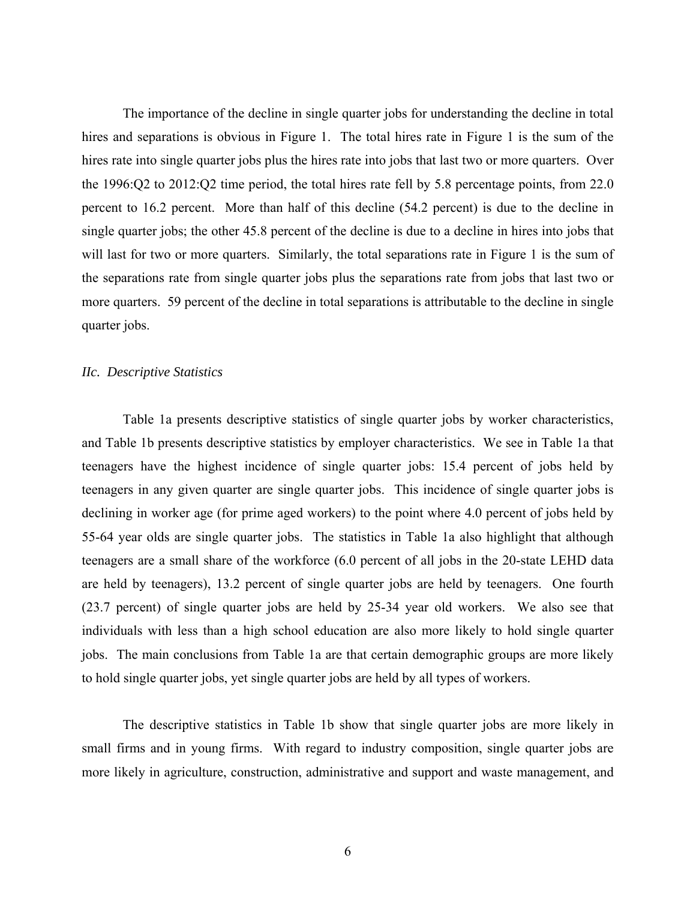The importance of the decline in single quarter jobs for understanding the decline in total hires and separations is obvious in Figure 1. The total hires rate in Figure 1 is the sum of the hires rate into single quarter jobs plus the hires rate into jobs that last two or more quarters. Over the 1996:Q2 to 2012:Q2 time period, the total hires rate fell by 5.8 percentage points, from 22.0 percent to 16.2 percent. More than half of this decline (54.2 percent) is due to the decline in single quarter jobs; the other 45.8 percent of the decline is due to a decline in hires into jobs that will last for two or more quarters. Similarly, the total separations rate in Figure 1 is the sum of the separations rate from single quarter jobs plus the separations rate from jobs that last two or more quarters. 59 percent of the decline in total separations is attributable to the decline in single quarter jobs.

#### *IIc. Descriptive Statistics*

 Table 1a presents descriptive statistics of single quarter jobs by worker characteristics, and Table 1b presents descriptive statistics by employer characteristics. We see in Table 1a that teenagers have the highest incidence of single quarter jobs: 15.4 percent of jobs held by teenagers in any given quarter are single quarter jobs. This incidence of single quarter jobs is declining in worker age (for prime aged workers) to the point where 4.0 percent of jobs held by 55-64 year olds are single quarter jobs. The statistics in Table 1a also highlight that although teenagers are a small share of the workforce (6.0 percent of all jobs in the 20-state LEHD data are held by teenagers), 13.2 percent of single quarter jobs are held by teenagers. One fourth (23.7 percent) of single quarter jobs are held by 25-34 year old workers. We also see that individuals with less than a high school education are also more likely to hold single quarter jobs. The main conclusions from Table 1a are that certain demographic groups are more likely to hold single quarter jobs, yet single quarter jobs are held by all types of workers.

 The descriptive statistics in Table 1b show that single quarter jobs are more likely in small firms and in young firms. With regard to industry composition, single quarter jobs are more likely in agriculture, construction, administrative and support and waste management, and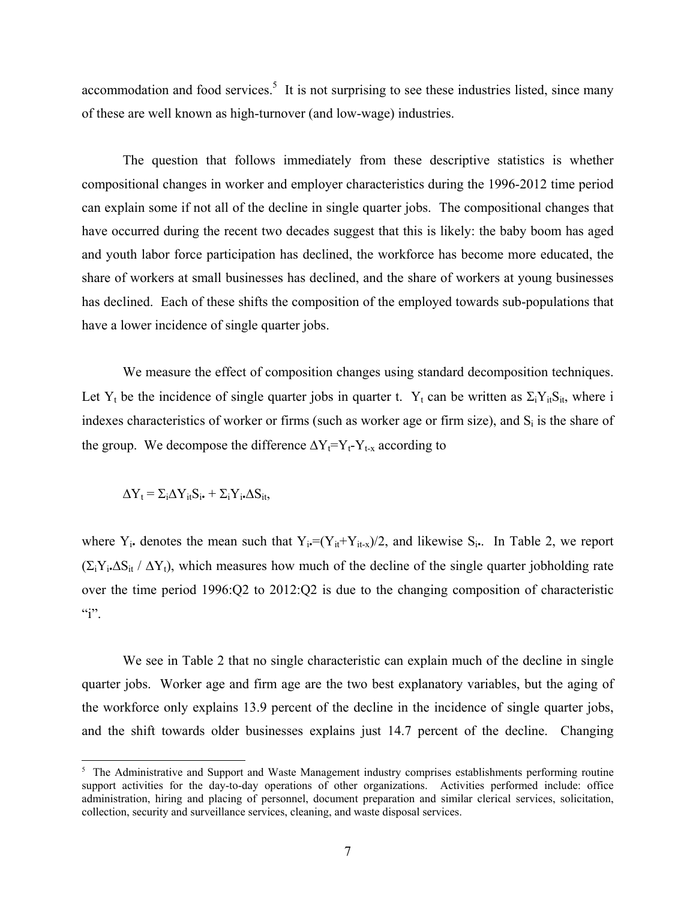accommodation and food services.<sup>5</sup> It is not surprising to see these industries listed, since many of these are well known as high-turnover (and low-wage) industries.

 The question that follows immediately from these descriptive statistics is whether compositional changes in worker and employer characteristics during the 1996-2012 time period can explain some if not all of the decline in single quarter jobs. The compositional changes that have occurred during the recent two decades suggest that this is likely: the baby boom has aged and youth labor force participation has declined, the workforce has become more educated, the share of workers at small businesses has declined, and the share of workers at young businesses has declined. Each of these shifts the composition of the employed towards sub-populations that have a lower incidence of single quarter jobs.

 We measure the effect of composition changes using standard decomposition techniques. Let Y<sub>t</sub> be the incidence of single quarter jobs in quarter t. Y<sub>t</sub> can be written as  $\Sigma_i Y_{it} S_{it}$ , where i indexes characteristics of worker or firms (such as worker age or firm size), and  $S_i$  is the share of the group. We decompose the difference  $\Delta Y_t = Y_t - Y_{t-x}$  according to

$$
\Delta Y_t = \Sigma_i \Delta Y_{it} S_{i\bullet} + \Sigma_i Y_{i\bullet} \Delta S_{it\bullet}
$$

 $\overline{\phantom{a}}$ 

where  $Y_i$ • denotes the mean such that  $Y_i = (Y_{it} + Y_{it-x})/2$ , and likewise  $S_i$ •. In Table 2, we report  $(\Sigma_i Y_i \Delta S_i / \Delta Y_i)$ , which measures how much of the decline of the single quarter jobholding rate over the time period 1996:Q2 to 2012:Q2 is due to the changing composition of characteristic  $\mathbf{a}$ ".

 We see in Table 2 that no single characteristic can explain much of the decline in single quarter jobs. Worker age and firm age are the two best explanatory variables, but the aging of the workforce only explains 13.9 percent of the decline in the incidence of single quarter jobs, and the shift towards older businesses explains just 14.7 percent of the decline. Changing

<sup>&</sup>lt;sup>5</sup> The Administrative and Support and Waste Management industry comprises establishments performing routine support activities for the day-to-day operations of other organizations. Activities performed include: office administration, hiring and placing of personnel, document preparation and similar clerical services, solicitation, collection, security and surveillance services, cleaning, and waste disposal services.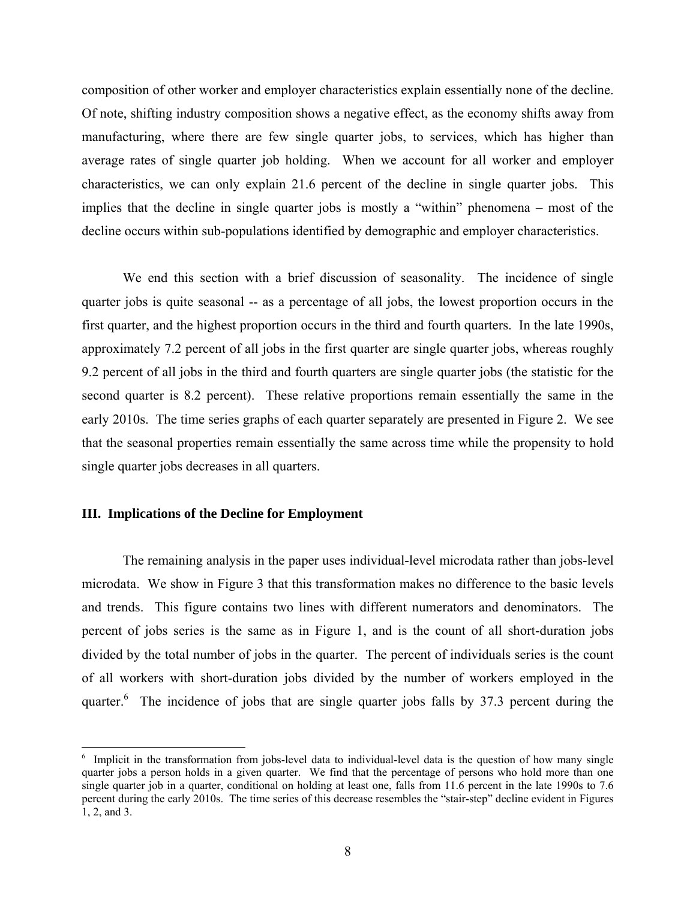composition of other worker and employer characteristics explain essentially none of the decline. Of note, shifting industry composition shows a negative effect, as the economy shifts away from manufacturing, where there are few single quarter jobs, to services, which has higher than average rates of single quarter job holding. When we account for all worker and employer characteristics, we can only explain 21.6 percent of the decline in single quarter jobs. This implies that the decline in single quarter jobs is mostly a "within" phenomena – most of the decline occurs within sub-populations identified by demographic and employer characteristics.

 We end this section with a brief discussion of seasonality. The incidence of single quarter jobs is quite seasonal -- as a percentage of all jobs, the lowest proportion occurs in the first quarter, and the highest proportion occurs in the third and fourth quarters. In the late 1990s, approximately 7.2 percent of all jobs in the first quarter are single quarter jobs, whereas roughly 9.2 percent of all jobs in the third and fourth quarters are single quarter jobs (the statistic for the second quarter is 8.2 percent). These relative proportions remain essentially the same in the early 2010s. The time series graphs of each quarter separately are presented in Figure 2. We see that the seasonal properties remain essentially the same across time while the propensity to hold single quarter jobs decreases in all quarters.

#### **III. Implications of the Decline for Employment**

 $\overline{\phantom{a}}$ 

 The remaining analysis in the paper uses individual-level microdata rather than jobs-level microdata. We show in Figure 3 that this transformation makes no difference to the basic levels and trends. This figure contains two lines with different numerators and denominators. The percent of jobs series is the same as in Figure 1, and is the count of all short-duration jobs divided by the total number of jobs in the quarter. The percent of individuals series is the count of all workers with short-duration jobs divided by the number of workers employed in the quarter.<sup>6</sup> The incidence of jobs that are single quarter jobs falls by 37.3 percent during the

<sup>&</sup>lt;sup>6</sup> Implicit in the transformation from jobs-level data to individual-level data is the question of how many single quarter jobs a person holds in a given quarter. We find that the percentage of persons who hold more than one single quarter job in a quarter, conditional on holding at least one, falls from 11.6 percent in the late 1990s to 7.6 percent during the early 2010s. The time series of this decrease resembles the "stair-step" decline evident in Figures 1, 2, and 3.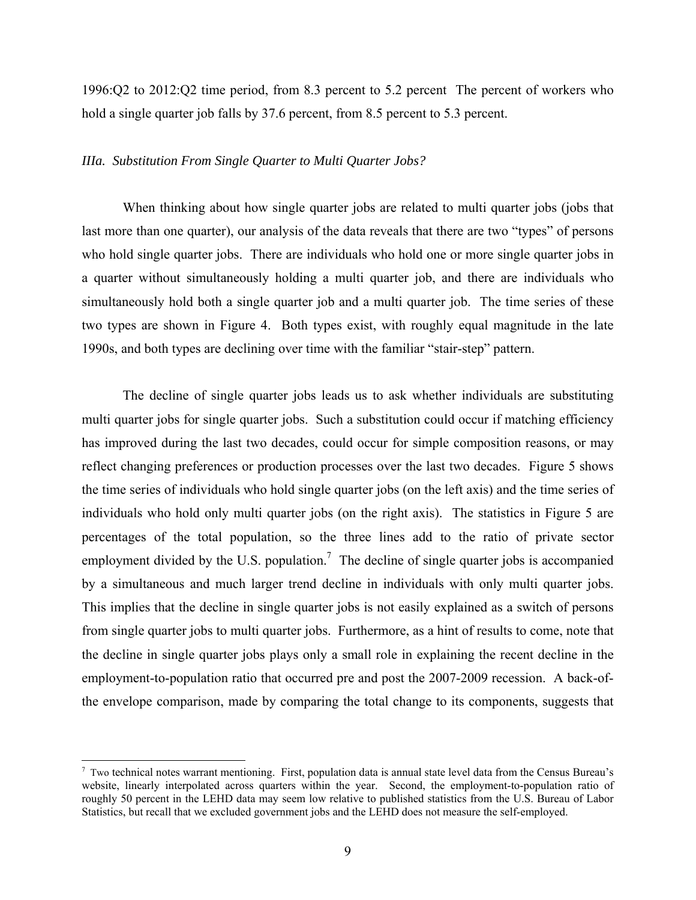1996:Q2 to 2012:Q2 time period, from 8.3 percent to 5.2 percent The percent of workers who hold a single quarter job falls by 37.6 percent, from 8.5 percent to 5.3 percent.

#### *IIIa. Substitution From Single Quarter to Multi Quarter Jobs?*

 When thinking about how single quarter jobs are related to multi quarter jobs (jobs that last more than one quarter), our analysis of the data reveals that there are two "types" of persons who hold single quarter jobs. There are individuals who hold one or more single quarter jobs in a quarter without simultaneously holding a multi quarter job, and there are individuals who simultaneously hold both a single quarter job and a multi quarter job. The time series of these two types are shown in Figure 4. Both types exist, with roughly equal magnitude in the late 1990s, and both types are declining over time with the familiar "stair-step" pattern.

 The decline of single quarter jobs leads us to ask whether individuals are substituting multi quarter jobs for single quarter jobs. Such a substitution could occur if matching efficiency has improved during the last two decades, could occur for simple composition reasons, or may reflect changing preferences or production processes over the last two decades. Figure 5 shows the time series of individuals who hold single quarter jobs (on the left axis) and the time series of individuals who hold only multi quarter jobs (on the right axis). The statistics in Figure 5 are percentages of the total population, so the three lines add to the ratio of private sector employment divided by the U.S. population.<sup>7</sup> The decline of single quarter jobs is accompanied by a simultaneous and much larger trend decline in individuals with only multi quarter jobs. This implies that the decline in single quarter jobs is not easily explained as a switch of persons from single quarter jobs to multi quarter jobs. Furthermore, as a hint of results to come, note that the decline in single quarter jobs plays only a small role in explaining the recent decline in the employment-to-population ratio that occurred pre and post the 2007-2009 recession. A back-ofthe envelope comparison, made by comparing the total change to its components, suggests that

 $\overline{\phantom{a}}$ 

<sup>7</sup> Two technical notes warrant mentioning. First, population data is annual state level data from the Census Bureau's website, linearly interpolated across quarters within the year. Second, the employment-to-population ratio of roughly 50 percent in the LEHD data may seem low relative to published statistics from the U.S. Bureau of Labor Statistics, but recall that we excluded government jobs and the LEHD does not measure the self-employed.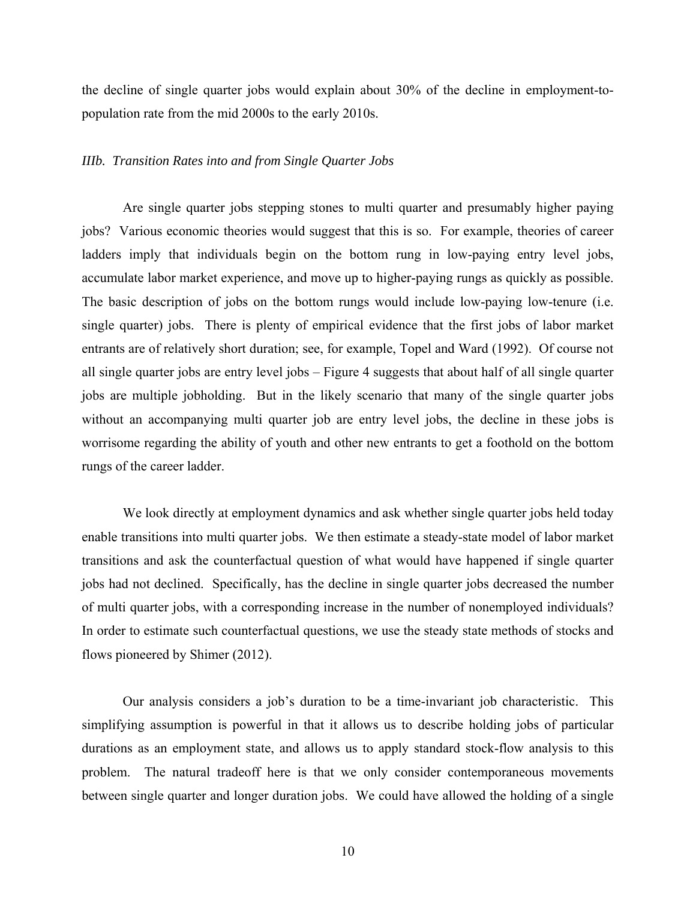the decline of single quarter jobs would explain about 30% of the decline in employment-topopulation rate from the mid 2000s to the early 2010s.

#### *IIIb. Transition Rates into and from Single Quarter Jobs*

 Are single quarter jobs stepping stones to multi quarter and presumably higher paying jobs? Various economic theories would suggest that this is so. For example, theories of career ladders imply that individuals begin on the bottom rung in low-paying entry level jobs, accumulate labor market experience, and move up to higher-paying rungs as quickly as possible. The basic description of jobs on the bottom rungs would include low-paying low-tenure (i.e. single quarter) jobs. There is plenty of empirical evidence that the first jobs of labor market entrants are of relatively short duration; see, for example, Topel and Ward (1992). Of course not all single quarter jobs are entry level jobs – Figure 4 suggests that about half of all single quarter jobs are multiple jobholding. But in the likely scenario that many of the single quarter jobs without an accompanying multi quarter job are entry level jobs, the decline in these jobs is worrisome regarding the ability of youth and other new entrants to get a foothold on the bottom rungs of the career ladder.

We look directly at employment dynamics and ask whether single quarter jobs held today enable transitions into multi quarter jobs. We then estimate a steady-state model of labor market transitions and ask the counterfactual question of what would have happened if single quarter jobs had not declined. Specifically, has the decline in single quarter jobs decreased the number of multi quarter jobs, with a corresponding increase in the number of nonemployed individuals? In order to estimate such counterfactual questions, we use the steady state methods of stocks and flows pioneered by Shimer (2012).

 Our analysis considers a job's duration to be a time-invariant job characteristic. This simplifying assumption is powerful in that it allows us to describe holding jobs of particular durations as an employment state, and allows us to apply standard stock-flow analysis to this problem. The natural tradeoff here is that we only consider contemporaneous movements between single quarter and longer duration jobs. We could have allowed the holding of a single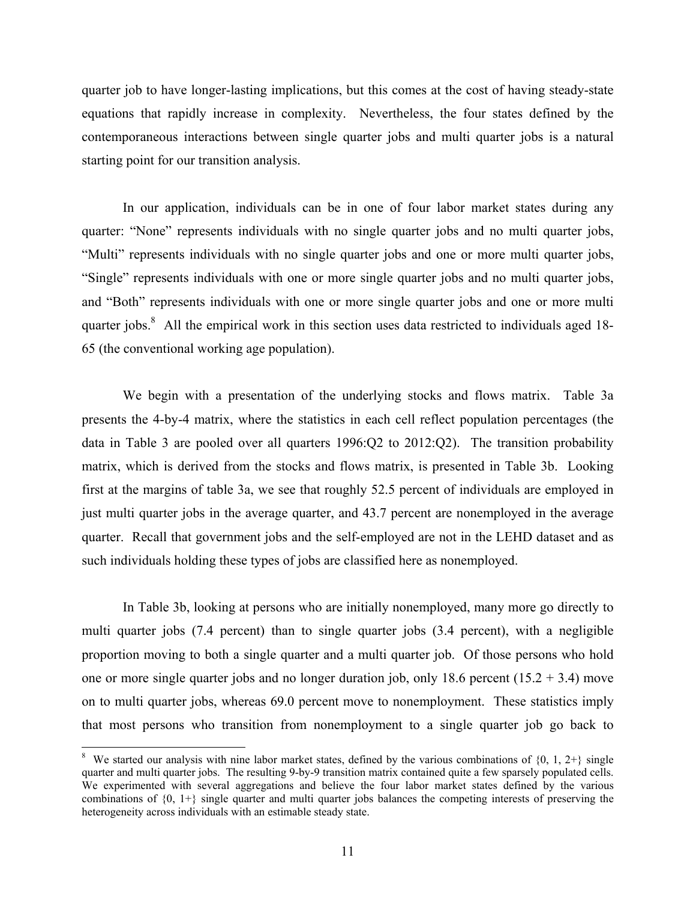quarter job to have longer-lasting implications, but this comes at the cost of having steady-state equations that rapidly increase in complexity. Nevertheless, the four states defined by the contemporaneous interactions between single quarter jobs and multi quarter jobs is a natural starting point for our transition analysis.

 In our application, individuals can be in one of four labor market states during any quarter: "None" represents individuals with no single quarter jobs and no multi quarter jobs, "Multi" represents individuals with no single quarter jobs and one or more multi quarter jobs, "Single" represents individuals with one or more single quarter jobs and no multi quarter jobs, and "Both" represents individuals with one or more single quarter jobs and one or more multi quarter jobs.<sup>8</sup> All the empirical work in this section uses data restricted to individuals aged 18-65 (the conventional working age population).

 We begin with a presentation of the underlying stocks and flows matrix. Table 3a presents the 4-by-4 matrix, where the statistics in each cell reflect population percentages (the data in Table 3 are pooled over all quarters 1996:Q2 to 2012:Q2). The transition probability matrix, which is derived from the stocks and flows matrix, is presented in Table 3b. Looking first at the margins of table 3a, we see that roughly 52.5 percent of individuals are employed in just multi quarter jobs in the average quarter, and 43.7 percent are nonemployed in the average quarter. Recall that government jobs and the self-employed are not in the LEHD dataset and as such individuals holding these types of jobs are classified here as nonemployed.

 In Table 3b, looking at persons who are initially nonemployed, many more go directly to multi quarter jobs (7.4 percent) than to single quarter jobs (3.4 percent), with a negligible proportion moving to both a single quarter and a multi quarter job. Of those persons who hold one or more single quarter jobs and no longer duration job, only 18.6 percent  $(15.2 + 3.4)$  move on to multi quarter jobs, whereas 69.0 percent move to nonemployment. These statistics imply that most persons who transition from nonemployment to a single quarter job go back to

 $\overline{\phantom{a}}$ 

<sup>&</sup>lt;sup>8</sup> We started our analysis with nine labor market states, defined by the various combinations of  $\{0, 1, 2+\}$  single quarter and multi quarter jobs. The resulting 9-by-9 transition matrix contained quite a few sparsely populated cells. We experimented with several aggregations and believe the four labor market states defined by the various combinations of {0, 1+} single quarter and multi quarter jobs balances the competing interests of preserving the heterogeneity across individuals with an estimable steady state.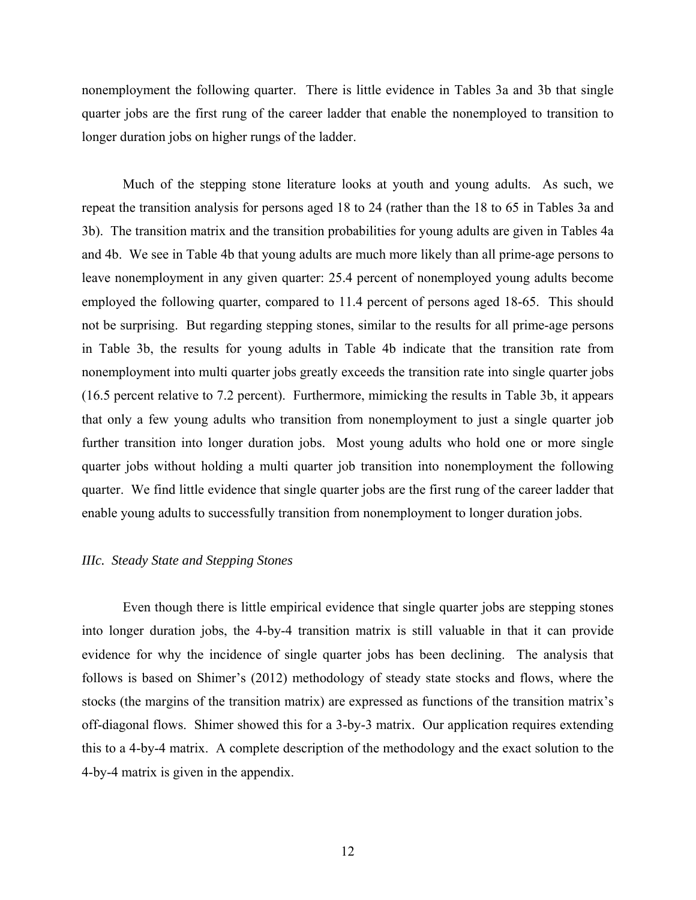nonemployment the following quarter. There is little evidence in Tables 3a and 3b that single quarter jobs are the first rung of the career ladder that enable the nonemployed to transition to longer duration jobs on higher rungs of the ladder.

 Much of the stepping stone literature looks at youth and young adults. As such, we repeat the transition analysis for persons aged 18 to 24 (rather than the 18 to 65 in Tables 3a and 3b). The transition matrix and the transition probabilities for young adults are given in Tables 4a and 4b. We see in Table 4b that young adults are much more likely than all prime-age persons to leave nonemployment in any given quarter: 25.4 percent of nonemployed young adults become employed the following quarter, compared to 11.4 percent of persons aged 18-65. This should not be surprising. But regarding stepping stones, similar to the results for all prime-age persons in Table 3b, the results for young adults in Table 4b indicate that the transition rate from nonemployment into multi quarter jobs greatly exceeds the transition rate into single quarter jobs (16.5 percent relative to 7.2 percent). Furthermore, mimicking the results in Table 3b, it appears that only a few young adults who transition from nonemployment to just a single quarter job further transition into longer duration jobs. Most young adults who hold one or more single quarter jobs without holding a multi quarter job transition into nonemployment the following quarter. We find little evidence that single quarter jobs are the first rung of the career ladder that enable young adults to successfully transition from nonemployment to longer duration jobs.

#### *IIIc. Steady State and Stepping Stones*

 Even though there is little empirical evidence that single quarter jobs are stepping stones into longer duration jobs, the 4-by-4 transition matrix is still valuable in that it can provide evidence for why the incidence of single quarter jobs has been declining. The analysis that follows is based on Shimer's (2012) methodology of steady state stocks and flows, where the stocks (the margins of the transition matrix) are expressed as functions of the transition matrix's off-diagonal flows. Shimer showed this for a 3-by-3 matrix. Our application requires extending this to a 4-by-4 matrix. A complete description of the methodology and the exact solution to the 4-by-4 matrix is given in the appendix.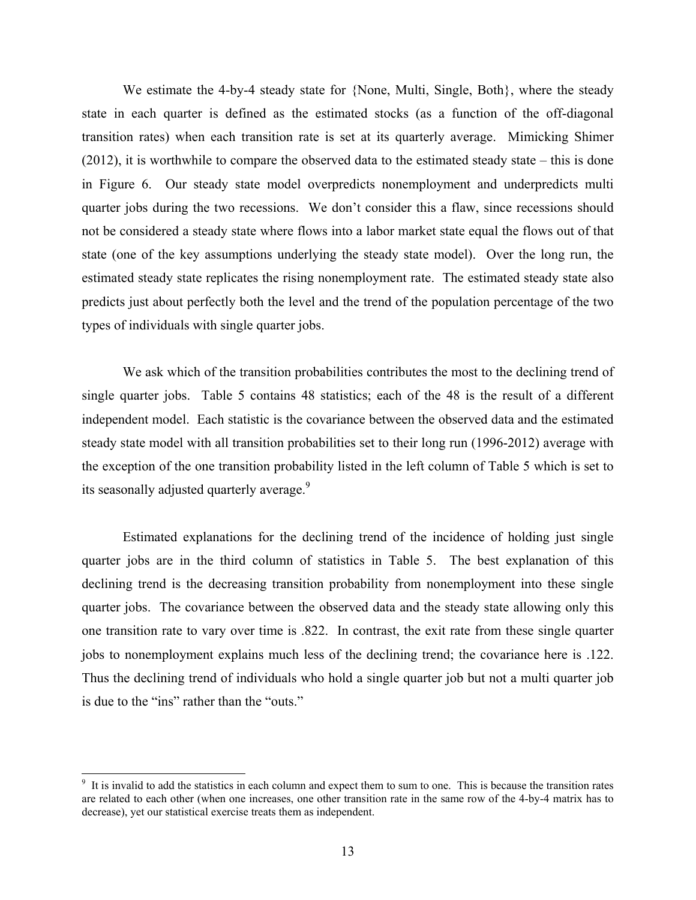We estimate the 4-by-4 steady state for {None, Multi, Single, Both}, where the steady state in each quarter is defined as the estimated stocks (as a function of the off-diagonal transition rates) when each transition rate is set at its quarterly average. Mimicking Shimer (2012), it is worthwhile to compare the observed data to the estimated steady state – this is done in Figure 6. Our steady state model overpredicts nonemployment and underpredicts multi quarter jobs during the two recessions. We don't consider this a flaw, since recessions should not be considered a steady state where flows into a labor market state equal the flows out of that state (one of the key assumptions underlying the steady state model). Over the long run, the estimated steady state replicates the rising nonemployment rate. The estimated steady state also predicts just about perfectly both the level and the trend of the population percentage of the two types of individuals with single quarter jobs.

 We ask which of the transition probabilities contributes the most to the declining trend of single quarter jobs. Table 5 contains 48 statistics; each of the 48 is the result of a different independent model. Each statistic is the covariance between the observed data and the estimated steady state model with all transition probabilities set to their long run (1996-2012) average with the exception of the one transition probability listed in the left column of Table 5 which is set to its seasonally adjusted quarterly average.<sup>9</sup>

 Estimated explanations for the declining trend of the incidence of holding just single quarter jobs are in the third column of statistics in Table 5. The best explanation of this declining trend is the decreasing transition probability from nonemployment into these single quarter jobs. The covariance between the observed data and the steady state allowing only this one transition rate to vary over time is .822. In contrast, the exit rate from these single quarter jobs to nonemployment explains much less of the declining trend; the covariance here is .122. Thus the declining trend of individuals who hold a single quarter job but not a multi quarter job is due to the "ins" rather than the "outs."

l

<sup>&</sup>lt;sup>9</sup> It is invalid to add the statistics in each column and expect them to sum to one. This is because the transition rates are related to each other (when one increases, one other transition rate in the same row of the 4-by-4 matrix has to decrease), yet our statistical exercise treats them as independent.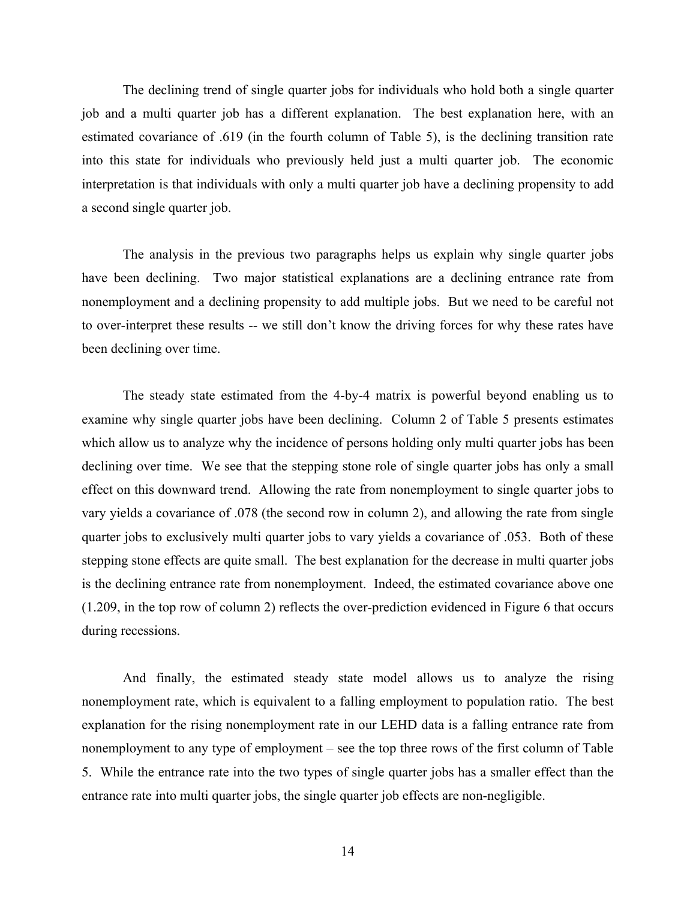The declining trend of single quarter jobs for individuals who hold both a single quarter job and a multi quarter job has a different explanation. The best explanation here, with an estimated covariance of .619 (in the fourth column of Table 5), is the declining transition rate into this state for individuals who previously held just a multi quarter job. The economic interpretation is that individuals with only a multi quarter job have a declining propensity to add a second single quarter job.

 The analysis in the previous two paragraphs helps us explain why single quarter jobs have been declining. Two major statistical explanations are a declining entrance rate from nonemployment and a declining propensity to add multiple jobs. But we need to be careful not to over-interpret these results -- we still don't know the driving forces for why these rates have been declining over time.

 The steady state estimated from the 4-by-4 matrix is powerful beyond enabling us to examine why single quarter jobs have been declining. Column 2 of Table 5 presents estimates which allow us to analyze why the incidence of persons holding only multi quarter jobs has been declining over time. We see that the stepping stone role of single quarter jobs has only a small effect on this downward trend. Allowing the rate from nonemployment to single quarter jobs to vary yields a covariance of .078 (the second row in column 2), and allowing the rate from single quarter jobs to exclusively multi quarter jobs to vary yields a covariance of .053. Both of these stepping stone effects are quite small. The best explanation for the decrease in multi quarter jobs is the declining entrance rate from nonemployment. Indeed, the estimated covariance above one (1.209, in the top row of column 2) reflects the over-prediction evidenced in Figure 6 that occurs during recessions.

 And finally, the estimated steady state model allows us to analyze the rising nonemployment rate, which is equivalent to a falling employment to population ratio. The best explanation for the rising nonemployment rate in our LEHD data is a falling entrance rate from nonemployment to any type of employment – see the top three rows of the first column of Table 5. While the entrance rate into the two types of single quarter jobs has a smaller effect than the entrance rate into multi quarter jobs, the single quarter job effects are non-negligible.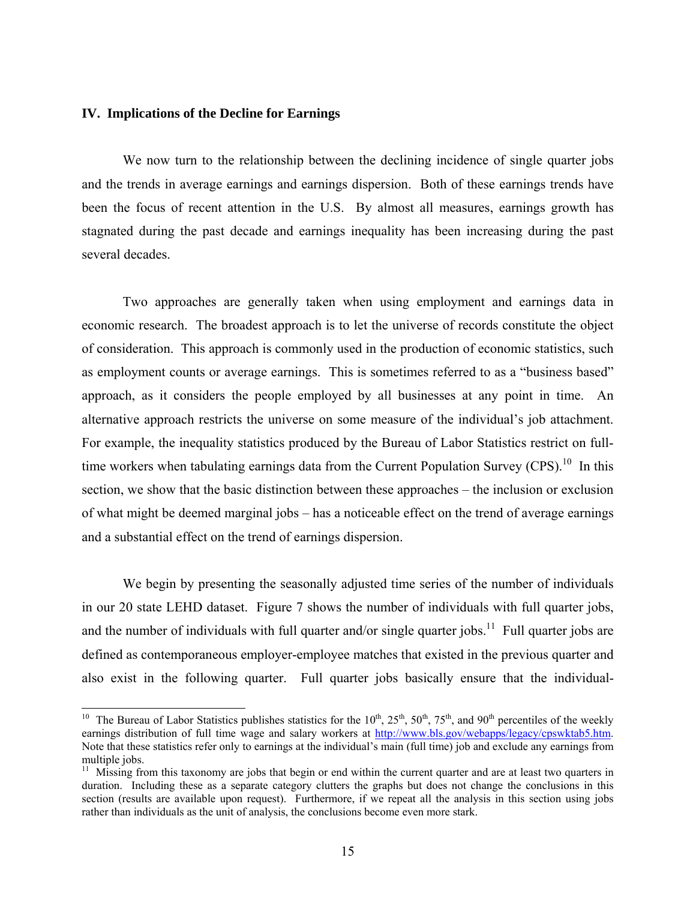#### **IV. Implications of the Decline for Earnings**

 $\overline{\phantom{a}}$ 

 We now turn to the relationship between the declining incidence of single quarter jobs and the trends in average earnings and earnings dispersion. Both of these earnings trends have been the focus of recent attention in the U.S. By almost all measures, earnings growth has stagnated during the past decade and earnings inequality has been increasing during the past several decades.

 Two approaches are generally taken when using employment and earnings data in economic research. The broadest approach is to let the universe of records constitute the object of consideration. This approach is commonly used in the production of economic statistics, such as employment counts or average earnings. This is sometimes referred to as a "business based" approach, as it considers the people employed by all businesses at any point in time. An alternative approach restricts the universe on some measure of the individual's job attachment. For example, the inequality statistics produced by the Bureau of Labor Statistics restrict on fulltime workers when tabulating earnings data from the Current Population Survey  $(CPS)$ <sup>10</sup> In this section, we show that the basic distinction between these approaches – the inclusion or exclusion of what might be deemed marginal jobs – has a noticeable effect on the trend of average earnings and a substantial effect on the trend of earnings dispersion.

 We begin by presenting the seasonally adjusted time series of the number of individuals in our 20 state LEHD dataset. Figure 7 shows the number of individuals with full quarter jobs, and the number of individuals with full quarter and/or single quarter jobs.<sup>11</sup> Full quarter jobs are defined as contemporaneous employer-employee matches that existed in the previous quarter and also exist in the following quarter. Full quarter jobs basically ensure that the individual-

<sup>&</sup>lt;sup>10</sup> The Bureau of Labor Statistics publishes statistics for the  $10^{th}$ ,  $25^{th}$ ,  $50^{th}$ ,  $75^{th}$ , and  $90^{th}$  percentiles of the weekly earnings distribution of full time wage and salary workers at http://www.bls.gov/webapps/legacy/cpswktab5.htm. Note that these statistics refer only to earnings at the individual's main (full time) job and exclude any earnings from multiple jobs.

 $11$  Missing from this taxonomy are jobs that begin or end within the current quarter and are at least two quarters in duration. Including these as a separate category clutters the graphs but does not change the conclusions in this section (results are available upon request). Furthermore, if we repeat all the analysis in this section using jobs rather than individuals as the unit of analysis, the conclusions become even more stark.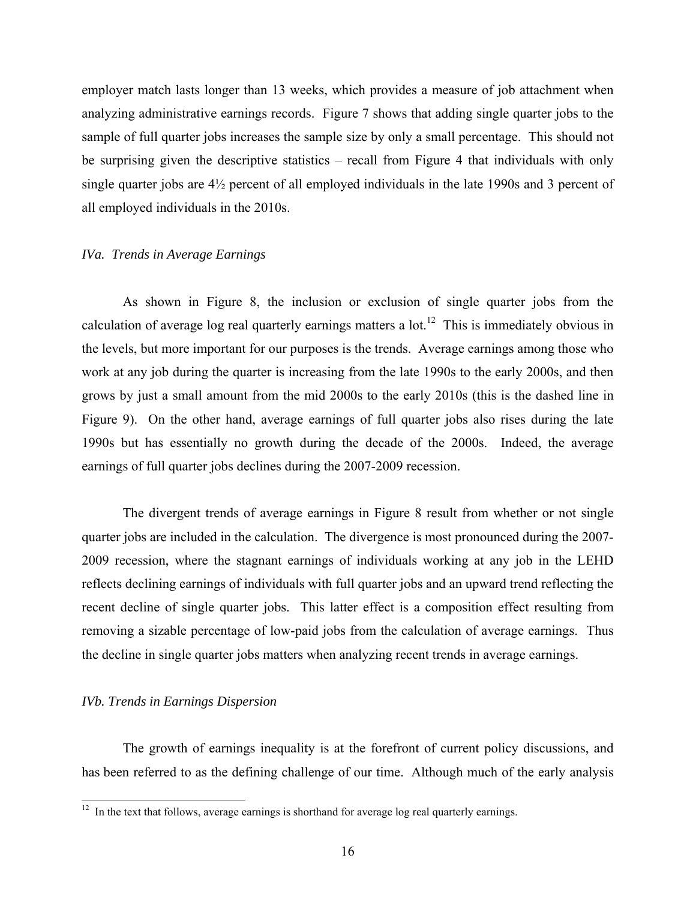employer match lasts longer than 13 weeks, which provides a measure of job attachment when analyzing administrative earnings records. Figure 7 shows that adding single quarter jobs to the sample of full quarter jobs increases the sample size by only a small percentage. This should not be surprising given the descriptive statistics – recall from Figure 4 that individuals with only single quarter jobs are 4½ percent of all employed individuals in the late 1990s and 3 percent of all employed individuals in the 2010s.

#### *IVa. Trends in Average Earnings*

 As shown in Figure 8, the inclusion or exclusion of single quarter jobs from the calculation of average log real quarterly earnings matters a lot.<sup>12</sup> This is immediately obvious in the levels, but more important for our purposes is the trends. Average earnings among those who work at any job during the quarter is increasing from the late 1990s to the early 2000s, and then grows by just a small amount from the mid 2000s to the early 2010s (this is the dashed line in Figure 9). On the other hand, average earnings of full quarter jobs also rises during the late 1990s but has essentially no growth during the decade of the 2000s. Indeed, the average earnings of full quarter jobs declines during the 2007-2009 recession.

 The divergent trends of average earnings in Figure 8 result from whether or not single quarter jobs are included in the calculation. The divergence is most pronounced during the 2007- 2009 recession, where the stagnant earnings of individuals working at any job in the LEHD reflects declining earnings of individuals with full quarter jobs and an upward trend reflecting the recent decline of single quarter jobs. This latter effect is a composition effect resulting from removing a sizable percentage of low-paid jobs from the calculation of average earnings. Thus the decline in single quarter jobs matters when analyzing recent trends in average earnings.

#### *IVb. Trends in Earnings Dispersion*

 $\overline{\phantom{a}}$ 

 The growth of earnings inequality is at the forefront of current policy discussions, and has been referred to as the defining challenge of our time. Although much of the early analysis

 $12$  In the text that follows, average earnings is shorthand for average log real quarterly earnings.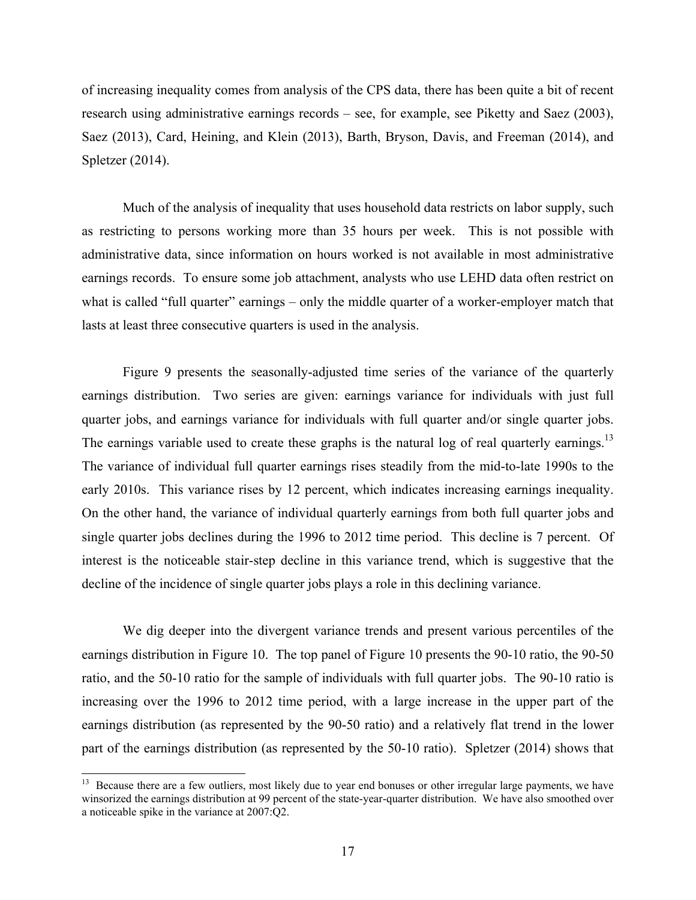of increasing inequality comes from analysis of the CPS data, there has been quite a bit of recent research using administrative earnings records – see, for example, see Piketty and Saez (2003), Saez (2013), Card, Heining, and Klein (2013), Barth, Bryson, Davis, and Freeman (2014), and Spletzer (2014).

 Much of the analysis of inequality that uses household data restricts on labor supply, such as restricting to persons working more than 35 hours per week. This is not possible with administrative data, since information on hours worked is not available in most administrative earnings records. To ensure some job attachment, analysts who use LEHD data often restrict on what is called "full quarter" earnings – only the middle quarter of a worker-employer match that lasts at least three consecutive quarters is used in the analysis.

 Figure 9 presents the seasonally-adjusted time series of the variance of the quarterly earnings distribution. Two series are given: earnings variance for individuals with just full quarter jobs, and earnings variance for individuals with full quarter and/or single quarter jobs. The earnings variable used to create these graphs is the natural log of real quarterly earnings.<sup>13</sup> The variance of individual full quarter earnings rises steadily from the mid-to-late 1990s to the early 2010s. This variance rises by 12 percent, which indicates increasing earnings inequality. On the other hand, the variance of individual quarterly earnings from both full quarter jobs and single quarter jobs declines during the 1996 to 2012 time period. This decline is 7 percent. Of interest is the noticeable stair-step decline in this variance trend, which is suggestive that the decline of the incidence of single quarter jobs plays a role in this declining variance.

 We dig deeper into the divergent variance trends and present various percentiles of the earnings distribution in Figure 10. The top panel of Figure 10 presents the 90-10 ratio, the 90-50 ratio, and the 50-10 ratio for the sample of individuals with full quarter jobs. The 90-10 ratio is increasing over the 1996 to 2012 time period, with a large increase in the upper part of the earnings distribution (as represented by the 90-50 ratio) and a relatively flat trend in the lower part of the earnings distribution (as represented by the 50-10 ratio). Spletzer (2014) shows that

l

<sup>&</sup>lt;sup>13</sup> Because there are a few outliers, most likely due to year end bonuses or other irregular large payments, we have winsorized the earnings distribution at 99 percent of the state-year-quarter distribution. We have also smoothed over a noticeable spike in the variance at 2007:Q2.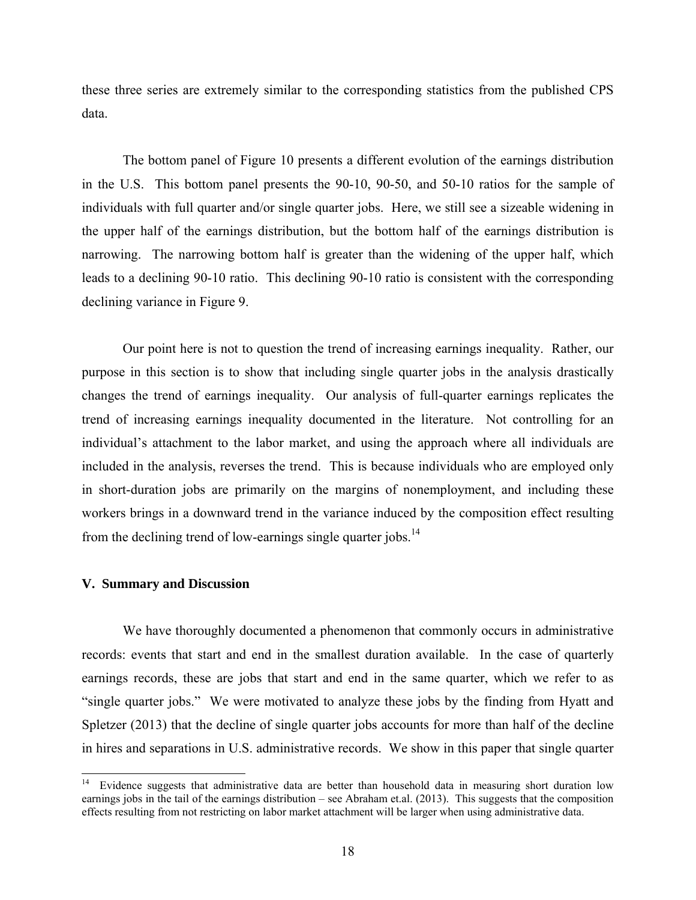these three series are extremely similar to the corresponding statistics from the published CPS data.

 The bottom panel of Figure 10 presents a different evolution of the earnings distribution in the U.S. This bottom panel presents the 90-10, 90-50, and 50-10 ratios for the sample of individuals with full quarter and/or single quarter jobs. Here, we still see a sizeable widening in the upper half of the earnings distribution, but the bottom half of the earnings distribution is narrowing. The narrowing bottom half is greater than the widening of the upper half, which leads to a declining 90-10 ratio. This declining 90-10 ratio is consistent with the corresponding declining variance in Figure 9.

 Our point here is not to question the trend of increasing earnings inequality. Rather, our purpose in this section is to show that including single quarter jobs in the analysis drastically changes the trend of earnings inequality. Our analysis of full-quarter earnings replicates the trend of increasing earnings inequality documented in the literature. Not controlling for an individual's attachment to the labor market, and using the approach where all individuals are included in the analysis, reverses the trend. This is because individuals who are employed only in short-duration jobs are primarily on the margins of nonemployment, and including these workers brings in a downward trend in the variance induced by the composition effect resulting from the declining trend of low-earnings single quarter jobs.<sup>14</sup>

#### **V. Summary and Discussion**

l

 We have thoroughly documented a phenomenon that commonly occurs in administrative records: events that start and end in the smallest duration available. In the case of quarterly earnings records, these are jobs that start and end in the same quarter, which we refer to as "single quarter jobs." We were motivated to analyze these jobs by the finding from Hyatt and Spletzer (2013) that the decline of single quarter jobs accounts for more than half of the decline in hires and separations in U.S. administrative records. We show in this paper that single quarter

<sup>14</sup> Evidence suggests that administrative data are better than household data in measuring short duration low earnings jobs in the tail of the earnings distribution – see Abraham et.al. (2013). This suggests that the composition effects resulting from not restricting on labor market attachment will be larger when using administrative data.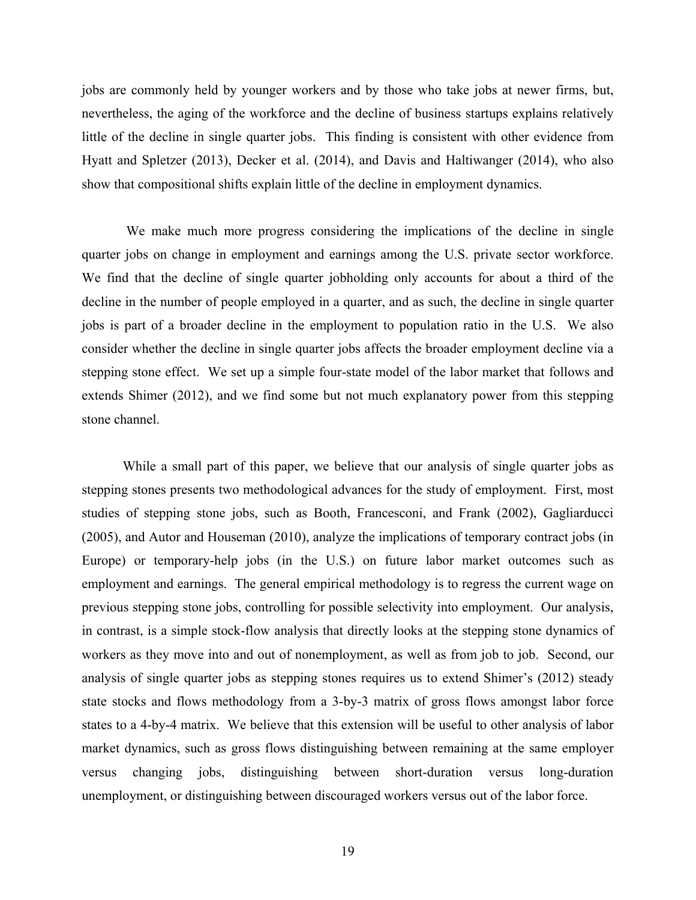jobs are commonly held by younger workers and by those who take jobs at newer firms, but, nevertheless, the aging of the workforce and the decline of business startups explains relatively little of the decline in single quarter jobs. This finding is consistent with other evidence from Hyatt and Spletzer (2013), Decker et al. (2014), and Davis and Haltiwanger (2014), who also show that compositional shifts explain little of the decline in employment dynamics.

 We make much more progress considering the implications of the decline in single quarter jobs on change in employment and earnings among the U.S. private sector workforce. We find that the decline of single quarter jobholding only accounts for about a third of the decline in the number of people employed in a quarter, and as such, the decline in single quarter jobs is part of a broader decline in the employment to population ratio in the U.S. We also consider whether the decline in single quarter jobs affects the broader employment decline via a stepping stone effect. We set up a simple four-state model of the labor market that follows and extends Shimer (2012), and we find some but not much explanatory power from this stepping stone channel.

 While a small part of this paper, we believe that our analysis of single quarter jobs as stepping stones presents two methodological advances for the study of employment. First, most studies of stepping stone jobs, such as Booth, Francesconi, and Frank (2002), Gagliarducci (2005), and Autor and Houseman (2010), analyze the implications of temporary contract jobs (in Europe) or temporary-help jobs (in the U.S.) on future labor market outcomes such as employment and earnings. The general empirical methodology is to regress the current wage on previous stepping stone jobs, controlling for possible selectivity into employment. Our analysis, in contrast, is a simple stock-flow analysis that directly looks at the stepping stone dynamics of workers as they move into and out of nonemployment, as well as from job to job. Second, our analysis of single quarter jobs as stepping stones requires us to extend Shimer's (2012) steady state stocks and flows methodology from a 3-by-3 matrix of gross flows amongst labor force states to a 4-by-4 matrix. We believe that this extension will be useful to other analysis of labor market dynamics, such as gross flows distinguishing between remaining at the same employer versus changing jobs, distinguishing between short-duration versus long-duration unemployment, or distinguishing between discouraged workers versus out of the labor force.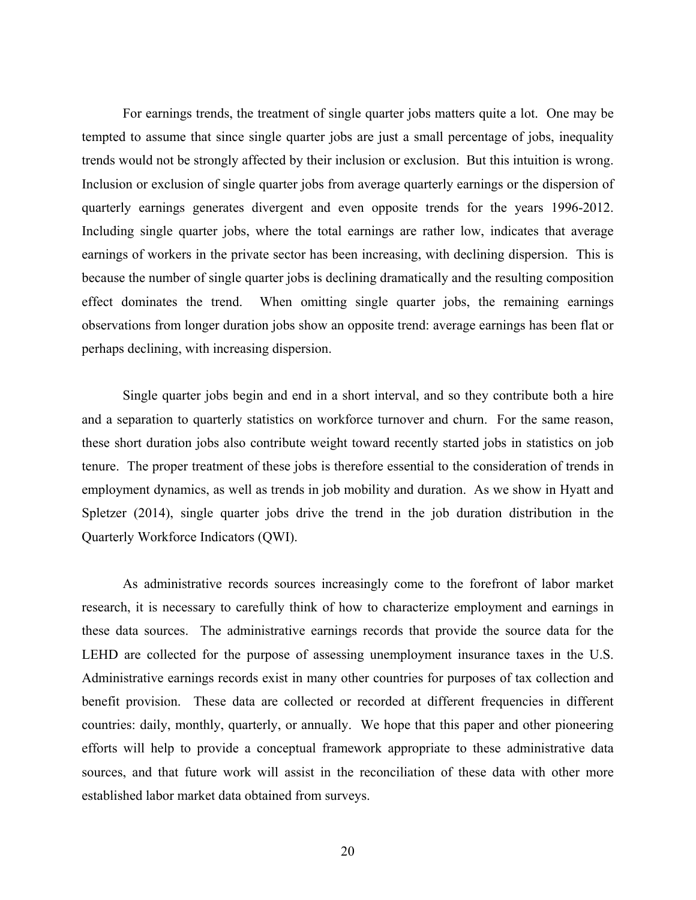For earnings trends, the treatment of single quarter jobs matters quite a lot. One may be tempted to assume that since single quarter jobs are just a small percentage of jobs, inequality trends would not be strongly affected by their inclusion or exclusion. But this intuition is wrong. Inclusion or exclusion of single quarter jobs from average quarterly earnings or the dispersion of quarterly earnings generates divergent and even opposite trends for the years 1996-2012. Including single quarter jobs, where the total earnings are rather low, indicates that average earnings of workers in the private sector has been increasing, with declining dispersion. This is because the number of single quarter jobs is declining dramatically and the resulting composition effect dominates the trend. When omitting single quarter jobs, the remaining earnings observations from longer duration jobs show an opposite trend: average earnings has been flat or perhaps declining, with increasing dispersion.

 Single quarter jobs begin and end in a short interval, and so they contribute both a hire and a separation to quarterly statistics on workforce turnover and churn. For the same reason, these short duration jobs also contribute weight toward recently started jobs in statistics on job tenure. The proper treatment of these jobs is therefore essential to the consideration of trends in employment dynamics, as well as trends in job mobility and duration. As we show in Hyatt and Spletzer (2014), single quarter jobs drive the trend in the job duration distribution in the Quarterly Workforce Indicators (QWI).

 As administrative records sources increasingly come to the forefront of labor market research, it is necessary to carefully think of how to characterize employment and earnings in these data sources. The administrative earnings records that provide the source data for the LEHD are collected for the purpose of assessing unemployment insurance taxes in the U.S. Administrative earnings records exist in many other countries for purposes of tax collection and benefit provision. These data are collected or recorded at different frequencies in different countries: daily, monthly, quarterly, or annually. We hope that this paper and other pioneering efforts will help to provide a conceptual framework appropriate to these administrative data sources, and that future work will assist in the reconciliation of these data with other more established labor market data obtained from surveys.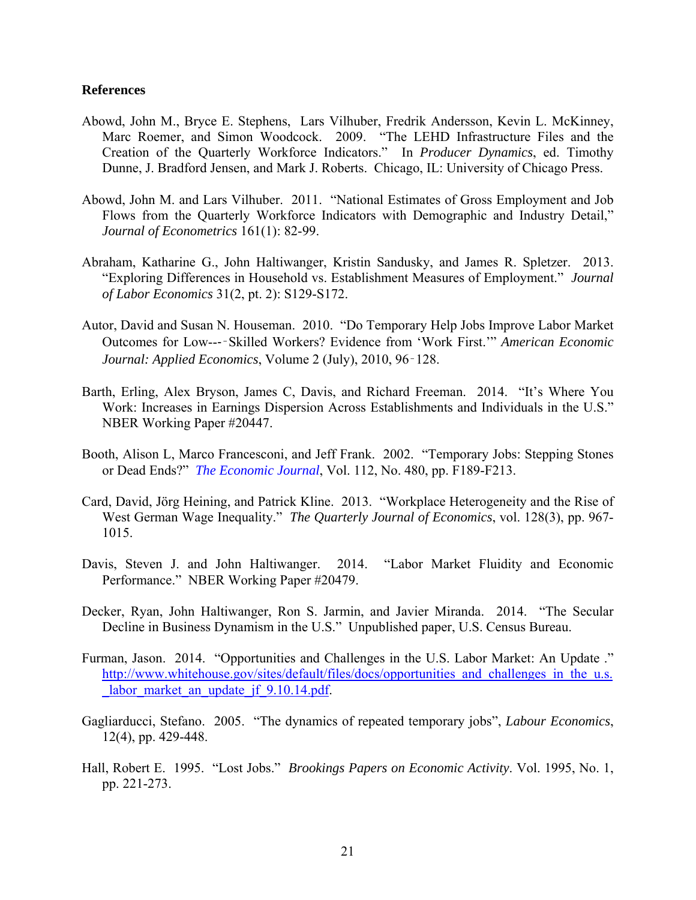#### **References**

- Abowd, John M., Bryce E. Stephens, Lars Vilhuber, Fredrik Andersson, Kevin L. McKinney, Marc Roemer, and Simon Woodcock. 2009. "The LEHD Infrastructure Files and the Creation of the Quarterly Workforce Indicators." In *Producer Dynamics*, ed. Timothy Dunne, J. Bradford Jensen, and Mark J. Roberts. Chicago, IL: University of Chicago Press.
- Abowd, John M. and Lars Vilhuber. 2011. "National Estimates of Gross Employment and Job Flows from the Quarterly Workforce Indicators with Demographic and Industry Detail," *Journal of Econometrics* 161(1): 82-99.
- Abraham, Katharine G., John Haltiwanger, Kristin Sandusky, and James R. Spletzer. 2013. "Exploring Differences in Household vs. Establishment Measures of Employment." *Journal of Labor Economics* 31(2, pt. 2): S129-S172.
- Autor, David and Susan N. Houseman. 2010. "Do Temporary Help Jobs Improve Labor Market Outcomes for Low--‐‑Skilled Workers? Evidence from 'Work First.'" *American Economic Journal: Applied Economics*, Volume 2 (July), 2010, 96‑128.
- Barth, Erling, Alex Bryson, James C, Davis, and Richard Freeman. 2014. "It's Where You Work: Increases in Earnings Dispersion Across Establishments and Individuals in the U.S." NBER Working Paper #20447.
- Booth, Alison L, Marco Francesconi, and Jeff Frank. 2002. "Temporary Jobs: Stepping Stones or Dead Ends?" *The Economic Journal*, Vol. 112, No. 480, pp. F189-F213.
- Card, David, Jörg Heining, and Patrick Kline. 2013. "Workplace Heterogeneity and the Rise of West German Wage Inequality." *The Quarterly Journal of Economics*, vol. 128(3), pp. 967- 1015.
- Davis, Steven J. and John Haltiwanger. 2014. "Labor Market Fluidity and Economic Performance." NBER Working Paper #20479.
- Decker, Ryan, John Haltiwanger, Ron S. Jarmin, and Javier Miranda. 2014. "The Secular Decline in Business Dynamism in the U.S." Unpublished paper, U.S. Census Bureau.
- Furman, Jason. 2014. "Opportunities and Challenges in the U.S. Labor Market: An Update ." http://www.whitehouse.gov/sites/default/files/docs/opportunities and challenges in the u.s. labor market an update jf 9.10.14.pdf.
- Gagliarducci, Stefano. 2005. "The dynamics of repeated temporary jobs", *Labour Economics*, 12(4), pp. 429-448.
- Hall, Robert E. 1995. "Lost Jobs." *Brookings Papers on Economic Activity*. Vol. 1995, No. 1, pp. 221-273.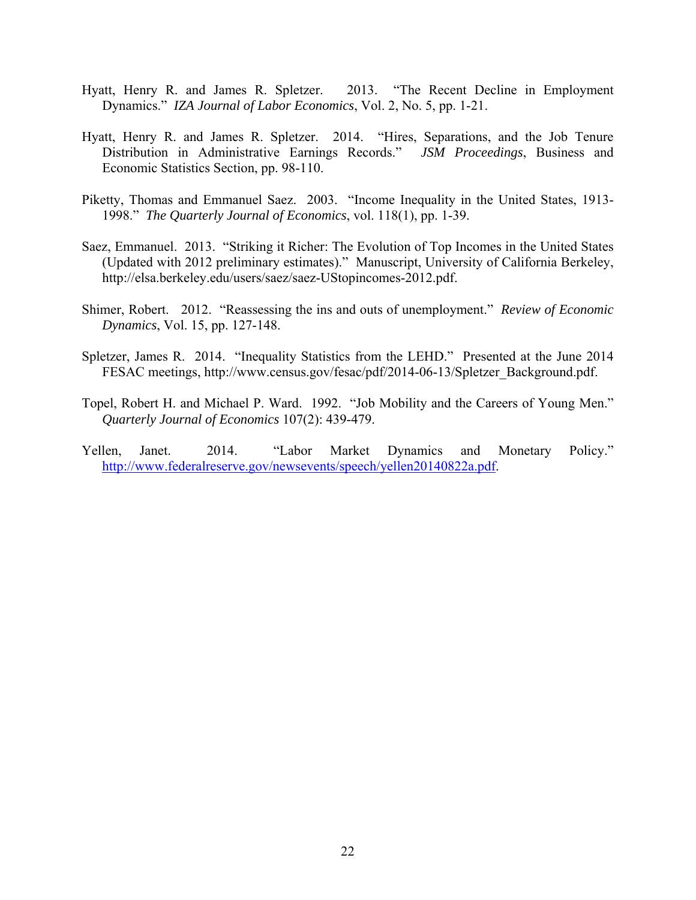- Hyatt, Henry R. and James R. Spletzer. 2013. "The Recent Decline in Employment Dynamics." *IZA Journal of Labor Economics*, Vol. 2, No. 5, pp. 1-21.
- Hyatt, Henry R. and James R. Spletzer. 2014. "Hires, Separations, and the Job Tenure Distribution in Administrative Earnings Records." *JSM Proceedings*, Business and Economic Statistics Section, pp. 98-110.
- Piketty, Thomas and Emmanuel Saez. 2003. "Income Inequality in the United States, 1913- 1998." *The Quarterly Journal of Economics*, vol. 118(1), pp. 1-39.
- Saez, Emmanuel. 2013. "Striking it Richer: The Evolution of Top Incomes in the United States (Updated with 2012 preliminary estimates)." Manuscript, University of California Berkeley, http://elsa.berkeley.edu/users/saez/saez-UStopincomes-2012.pdf.
- Shimer, Robert. 2012. "Reassessing the ins and outs of unemployment." *Review of Economic Dynamics*, Vol. 15, pp. 127-148.
- Spletzer, James R. 2014. "Inequality Statistics from the LEHD." Presented at the June 2014 FESAC meetings, http://www.census.gov/fesac/pdf/2014-06-13/Spletzer\_Background.pdf.
- Topel, Robert H. and Michael P. Ward. 1992. "Job Mobility and the Careers of Young Men." *Quarterly Journal of Economics* 107(2): 439-479.
- Yellen, Janet. 2014. "Labor Market Dynamics and Monetary Policy." http://www.federalreserve.gov/newsevents/speech/yellen20140822a.pdf.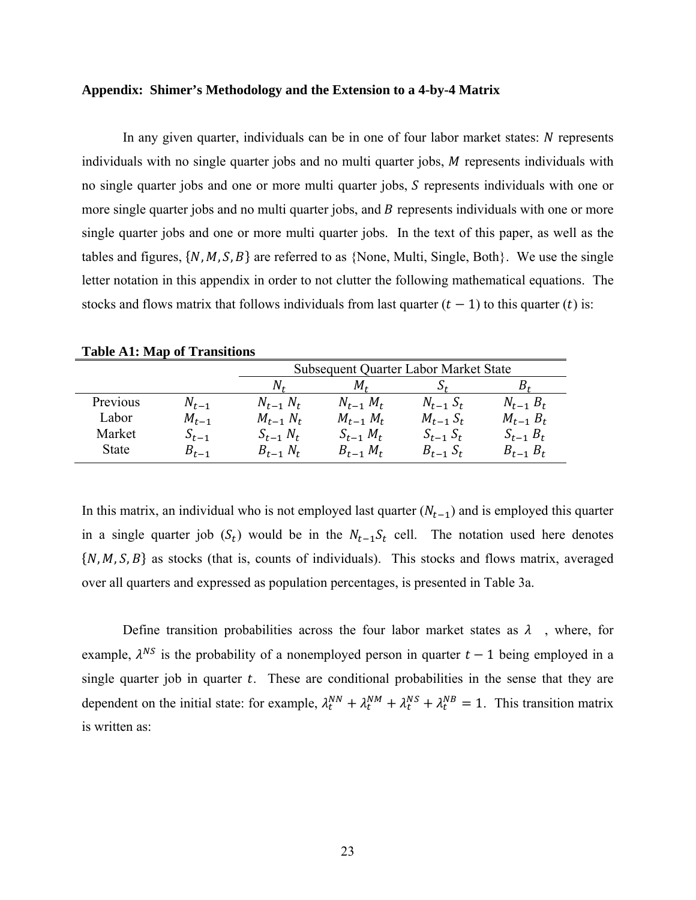#### **Appendix: Shimer's Methodology and the Extension to a 4-by-4 Matrix**

In any given quarter, individuals can be in one of four labor market states:  $N$  represents individuals with no single quarter jobs and no multi quarter jobs,  $M$  represents individuals with no single quarter jobs and one or more multi quarter jobs, S represents individuals with one or more single quarter jobs and no multi quarter jobs, and B represents individuals with one or more single quarter jobs and one or more multi quarter jobs. In the text of this paper, as well as the tables and figures,  $\{N, M, S, B\}$  are referred to as  $\{None, Multi, Single, Both\}$ . We use the single letter notation in this appendix in order to not clutter the following mathematical equations. The stocks and flows matrix that follows individuals from last quarter  $(t-1)$  to this quarter  $(t)$  is:

| <b>Table A1: Map of Transitions</b> |  |  |  |
|-------------------------------------|--|--|--|
|-------------------------------------|--|--|--|

|          |           | <b>Subsequent Quarter Labor Market State</b> |                 |                 |                 |  |
|----------|-----------|----------------------------------------------|-----------------|-----------------|-----------------|--|
|          |           | Nғ                                           | M+              | $\mathcal{A}_t$ |                 |  |
| Previous | $N_{t-1}$ | $N_{t-1} N_t$                                | $N_{t-1}$ $M_t$ | $N_{t-1}$ $S_t$ | $N_{t-1} B_t$   |  |
| Labor    | $M_{t-1}$ | $M_{t-1} N_t$                                | $M_{t-1}$ $M_t$ | $M_{t-1} S_t$   | $M_{t-1} B_t$   |  |
| Market   | $S_{t-1}$ | $S_{t-1} N_t$                                | $S_{t-1}$ $M_t$ | $S_{t-1} S_t$   | $S_{t-1}$ $B_t$ |  |
| State    | $B_{t-1}$ | $B_{t-1} N_t$                                | $B_{t-1}$ $M_t$ | $B_{t-1} S_t$   | $B_{t-1}$ $B_t$ |  |

In this matrix, an individual who is not employed last quarter  $(N_{t-1})$  and is employed this quarter in a single quarter job  $(S_t)$  would be in the  $N_{t-1}S_t$  cell. The notation used here denotes  $\{N, M, S, B\}$  as stocks (that is, counts of individuals). This stocks and flows matrix, averaged over all quarters and expressed as population percentages, is presented in Table 3a.

Define transition probabilities across the four labor market states as  $\lambda$ , where, for example,  $\lambda^{NS}$  is the probability of a nonemployed person in quarter  $t-1$  being employed in a single quarter job in quarter  $t$ . These are conditional probabilities in the sense that they are dependent on the initial state: for example,  $\lambda_t^{NN} + \lambda_t^{NM} + \lambda_t^{NS} + \lambda_t^{NB} = 1$ . This transition matrix is written as: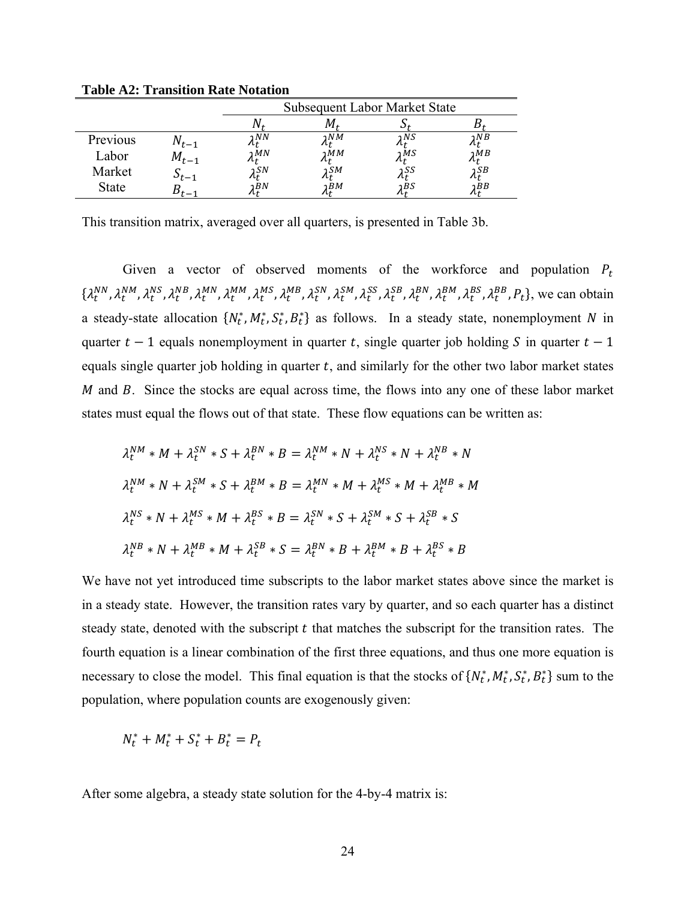|              |            | <b>Subsequent Labor Market State</b> |        |      |             |  |
|--------------|------------|--------------------------------------|--------|------|-------------|--|
|              |            |                                      |        |      |             |  |
| Previous     | $IV_{t-1}$ | วNN                                  | วNM    | วNS  | 1NB         |  |
| Labor        | $M_{t-1}$  | ۱ $MN$                               | 1MM    | าMS  | ว $MB$      |  |
| Market       | $r_{t-1}$  | ر (SN                                | วSM    | າ SS | า <i>SB</i> |  |
| <b>State</b> |            | BN                                   | ว $BM$ | ۱BS  | วBB         |  |

**Table A2: Transition Rate Notation** 

This transition matrix, averaged over all quarters, is presented in Table 3b.

Given a vector of observed moments of the workforce and population  $P_t$  $\{\lambda_t^{NN}, \lambda_t^{NS}, \lambda_t^{MB}, \lambda_t^{MN}, \lambda_t^{MS}, \lambda_t^{MB}, \lambda_t^{SN}, \lambda_t^{SM}, \lambda_t^{SS}, \lambda_t^{SB}, \lambda_t^{BM}, \lambda_t^{BS}, \lambda_t^{BB}, P_t\}$ , we can obtain a steady-state allocation  $\{N_t^*, M_t^*, S_t^*, B_t^*\}$  as follows. In a steady state, nonemployment N in quarter  $t-1$  equals nonemployment in quarter t, single quarter job holding S in quarter  $t-1$ equals single quarter job holding in quarter  $t$ , and similarly for the other two labor market states  $M$  and  $B$ . Since the stocks are equal across time, the flows into any one of these labor market states must equal the flows out of that state. These flow equations can be written as:

$$
\lambda_t^{NM} * M + \lambda_t^{SN} * S + \lambda_t^{BN} * B = \lambda_t^{NM} * N + \lambda_t^{NS} * N + \lambda_t^{NB} * N
$$
  

$$
\lambda_t^{NM} * N + \lambda_t^{SM} * S + \lambda_t^{BM} * B = \lambda_t^{MN} * M + \lambda_t^{MS} * M + \lambda_t^{MB} * M
$$
  

$$
\lambda_t^{NS} * N + \lambda_t^{MS} * M + \lambda_t^{BS} * B = \lambda_t^{SN} * S + \lambda_t^{SM} * S + \lambda_t^{SB} * S
$$
  

$$
\lambda_t^{NB} * N + \lambda_t^{MB} * M + \lambda_t^{SB} * S = \lambda_t^{BN} * B + \lambda_t^{BM} * B + \lambda_t^{BS} * B
$$

We have not yet introduced time subscripts to the labor market states above since the market is in a steady state. However, the transition rates vary by quarter, and so each quarter has a distinct steady state, denoted with the subscript  $t$  that matches the subscript for the transition rates. The fourth equation is a linear combination of the first three equations, and thus one more equation is necessary to close the model. This final equation is that the stocks of  $\{N_t^*, M_t^*, S_t^*, B_t^*\}$  sum to the population, where population counts are exogenously given:

$$
N_t^* + M_t^* + S_t^* + B_t^* = P_t
$$

After some algebra, a steady state solution for the 4-by-4 matrix is: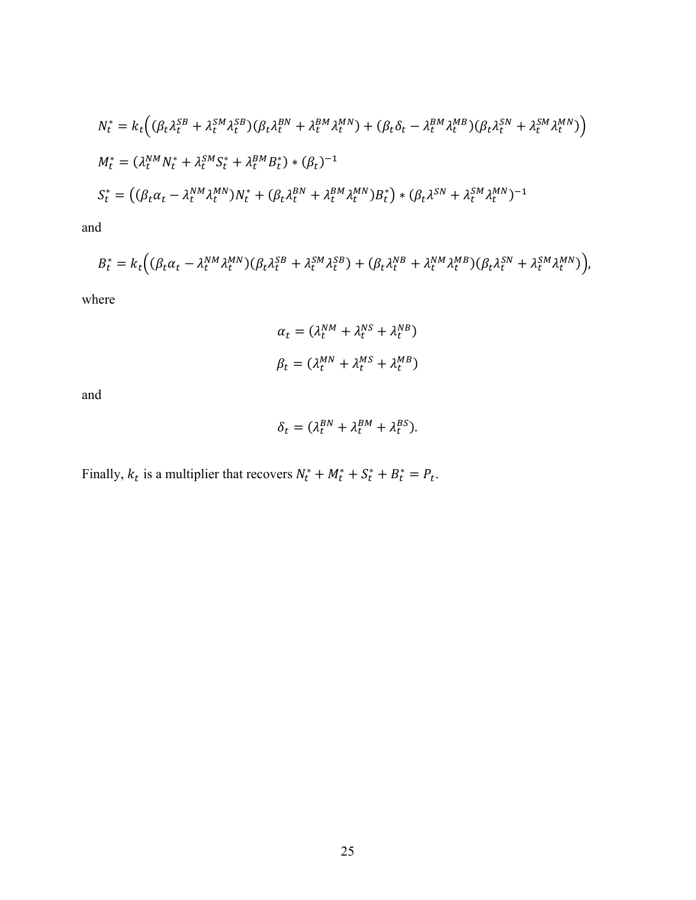$$
N_t^* = k_t \Big( (\beta_t \lambda_t^{SB} + \lambda_t^{SM} \lambda_t^{SB}) (\beta_t \lambda_t^{BN} + \lambda_t^{BM} \lambda_t^{MN}) + (\beta_t \delta_t - \lambda_t^{BM} \lambda_t^{MB}) (\beta_t \lambda_t^{SN} + \lambda_t^{SM} \lambda_t^{MN}) \Big)
$$
  
\n
$$
M_t^* = (\lambda_t^{NM} N_t^* + \lambda_t^{SM} S_t^* + \lambda_t^{BM} B_t^*) * (\beta_t)^{-1}
$$
  
\n
$$
S_t^* = ((\beta_t \alpha_t - \lambda_t^{NM} \lambda_t^{MN}) N_t^* + (\beta_t \lambda_t^{BN} + \lambda_t^{BM} \lambda_t^{MN}) B_t^*) * (\beta_t \lambda^{SN} + \lambda_t^{SM} \lambda_t^{MN})^{-1}
$$

and

$$
B_t^* = k_t \Big( (\beta_t \alpha_t - \lambda_t^{NM} \lambda_t^{MN}) (\beta_t \lambda_t^{SB} + \lambda_t^{SM} \lambda_t^{SB}) + (\beta_t \lambda_t^{NB} + \lambda_t^{NM} \lambda_t^{MB}) (\beta_t \lambda_t^{SN} + \lambda_t^{SM} \lambda_t^{MN}) \Big),
$$

where

$$
\alpha_t = (\lambda_t^{NM} + \lambda_t^{NS} + \lambda_t^{NB})
$$
  

$$
\beta_t = (\lambda_t^{MN} + \lambda_t^{MS} + \lambda_t^{MB})
$$

and

$$
\delta_t = (\lambda_t^{BN} + \lambda_t^{BM} + \lambda_t^{BS}).
$$

Finally,  $k_t$  is a multiplier that recovers  $N_t^* + M_t^* + S_t^* + B_t^* = P_t$ .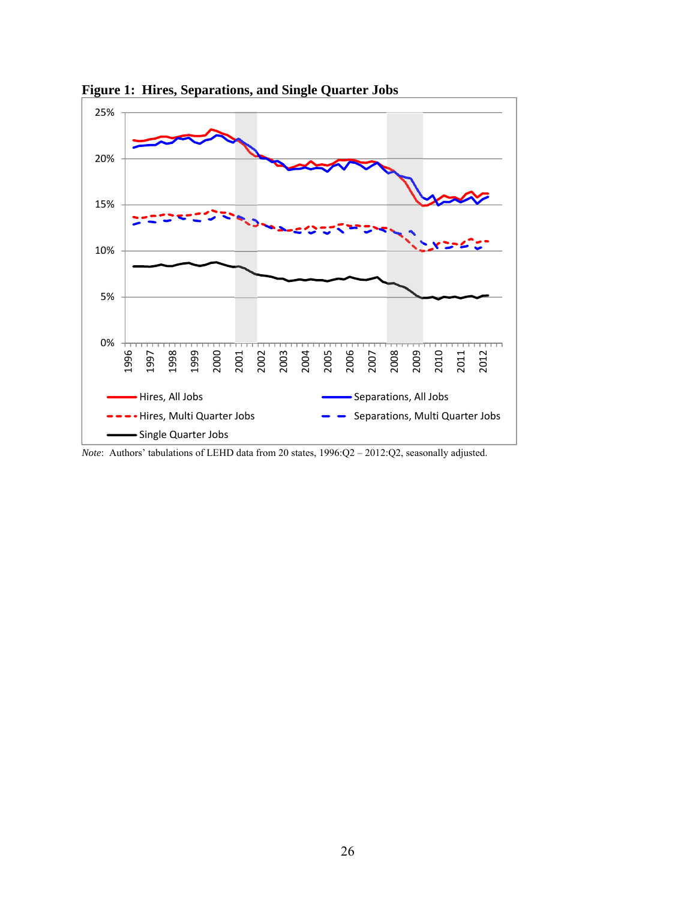

**Figure 1: Hires, Separations, and Single Quarter Jobs** 

*Note*: Authors' tabulations of LEHD data from 20 states, 1996:Q2 – 2012:Q2, seasonally adjusted.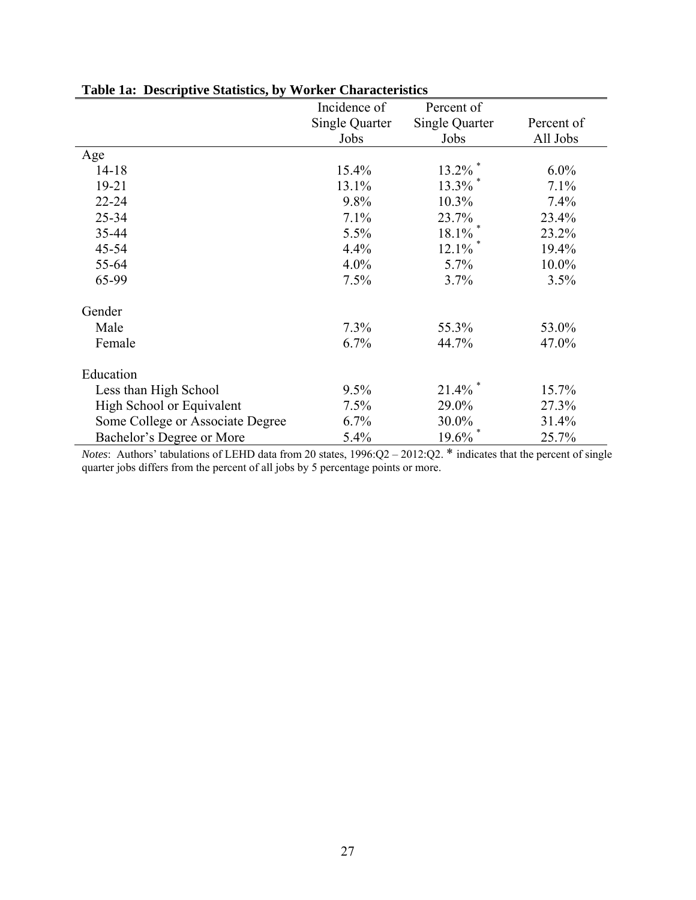|                                  | Incidence of   | Percent of            |            |
|----------------------------------|----------------|-----------------------|------------|
|                                  | Single Quarter | <b>Single Quarter</b> | Percent of |
|                                  | Jobs           | Jobs                  | All Jobs   |
| Age                              |                |                       |            |
| $14 - 18$                        | 15.4%          | $13.2\%$ <sup>*</sup> | $6.0\%$    |
| $19 - 21$                        | 13.1%          | 13.3%                 | 7.1%       |
| $22 - 24$                        | 9.8%           | $10.3\%$              | 7.4%       |
| $25 - 34$                        | 7.1%           | 23.7%                 | 23.4%      |
| 35-44                            | 5.5%           | 18.1%                 | 23.2%      |
| $45 - 54$                        | 4.4%           | 12.1%                 | 19.4%      |
| 55-64                            | $4.0\%$        | 5.7%                  | 10.0%      |
| 65-99                            | 7.5%           | 3.7%                  | 3.5%       |
| Gender                           |                |                       |            |
| Male                             | 7.3%           | 55.3%                 | 53.0%      |
| Female                           | 6.7%           | 44.7%                 | 47.0%      |
| Education                        |                |                       |            |
| Less than High School            | 9.5%           | 21.4%                 | 15.7%      |
| High School or Equivalent        | 7.5%           | 29.0%                 | 27.3%      |
| Some College or Associate Degree | 6.7%           | 30.0%                 | 31.4%      |
| Bachelor's Degree or More        | 5.4%           | 19.6%                 | 25.7%      |

### **Table 1a: Descriptive Statistics, by Worker Characteristics**

*Notes*: Authors' tabulations of LEHD data from 20 states, 1996:Q2 – 2012:Q2. \* indicates that the percent of single quarter jobs differs from the percent of all jobs by 5 percentage points or more.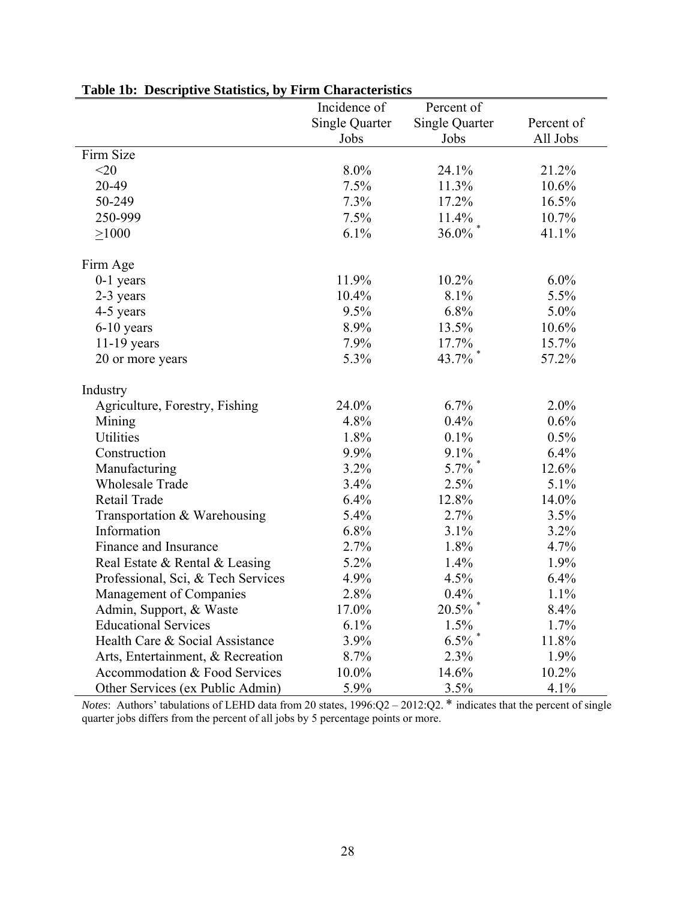|                                    | Incidence of          | Percent of            |            |
|------------------------------------|-----------------------|-----------------------|------------|
|                                    | <b>Single Quarter</b> | <b>Single Quarter</b> | Percent of |
|                                    | Jobs                  | Jobs                  | All Jobs   |
| Firm Size                          |                       |                       |            |
| $<$ 20                             | $8.0\%$               | 24.1%                 | 21.2%      |
| 20-49                              | 7.5%                  | 11.3%                 | 10.6%      |
| 50-249                             | 7.3%                  | 17.2%                 | 16.5%      |
| 250-999                            | 7.5%                  | 11.4%                 | 10.7%      |
| $\geq 1000$                        | 6.1%                  | $36.0\%$ $^{*}$       | 41.1%      |
| Firm Age                           |                       |                       |            |
| $0-1$ years                        | 11.9%                 | 10.2%                 | $6.0\%$    |
| 2-3 years                          | 10.4%                 | 8.1%                  | 5.5%       |
| 4-5 years                          | 9.5%                  | 6.8%                  | 5.0%       |
| $6-10$ years                       | 8.9%                  | 13.5%                 | 10.6%      |
| $11-19$ years                      | 7.9%                  | 17.7%                 | 15.7%      |
| 20 or more years                   | 5.3%                  | $43.7\%$              | 57.2%      |
| Industry                           |                       |                       |            |
| Agriculture, Forestry, Fishing     | 24.0%                 | 6.7%                  | 2.0%       |
| Mining                             | 4.8%                  | 0.4%                  | 0.6%       |
| Utilities                          | 1.8%                  | 0.1%                  | 0.5%       |
| Construction                       | 9.9%                  | 9.1%                  | 6.4%       |
| Manufacturing                      | 3.2%                  | 5.7%                  | 12.6%      |
| <b>Wholesale Trade</b>             | 3.4%                  | 2.5%                  | 5.1%       |
| Retail Trade                       | 6.4%                  | 12.8%                 | 14.0%      |
| Transportation & Warehousing       | 5.4%                  | 2.7%                  | 3.5%       |
| Information                        | 6.8%                  | 3.1%                  | 3.2%       |
| Finance and Insurance              | 2.7%                  | 1.8%                  | 4.7%       |
| Real Estate & Rental & Leasing     | 5.2%                  | 1.4%                  | 1.9%       |
| Professional, Sci, & Tech Services | 4.9%                  | 4.5%                  | 6.4%       |
| Management of Companies            | 2.8%                  | 0.4%                  | 1.1%       |
| Admin, Support, & Waste            | 17.0%                 | 20.5%                 | 8.4%       |
| <b>Educational Services</b>        | 6.1%                  | 1.5%                  | 1.7%       |
| Health Care & Social Assistance    | 3.9%                  | 6.5%                  | 11.8%      |
| Arts, Entertainment, & Recreation  | 8.7%                  | 2.3%                  | 1.9%       |
| Accommodation & Food Services      | 10.0%                 | 14.6%                 | 10.2%      |
| Other Services (ex Public Admin)   | 5.9%                  | 3.5%                  | 4.1%       |

### **Table 1b: Descriptive Statistics, by Firm Characteristics**

*Notes*: Authors' tabulations of LEHD data from 20 states, 1996:Q2 – 2012:Q2. \* indicates that the percent of single quarter jobs differs from the percent of all jobs by 5 percentage points or more.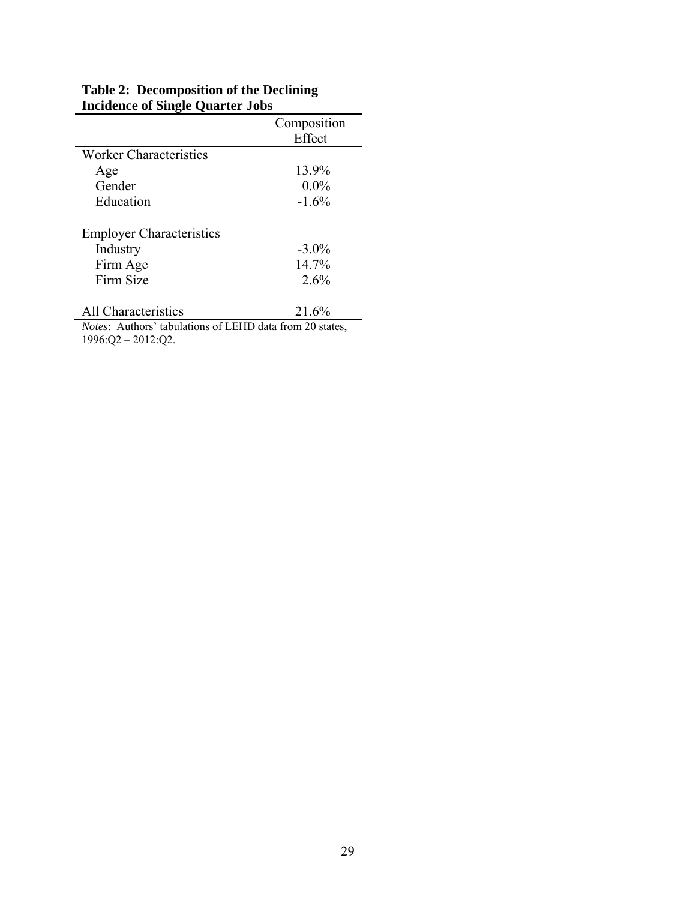|                                 | Composition |
|---------------------------------|-------------|
|                                 | Effect      |
| Worker Characteristics          |             |
| Age                             | 13.9%       |
| Gender                          | $0.0\%$     |
| Education                       | $-1.6%$     |
| <b>Employer Characteristics</b> |             |
| Industry                        | $-3.0\%$    |
| Firm Age                        | 14.7%       |
| Firm Size                       | 2.6%        |
|                                 |             |

#### **Table 2: Decomposition of the Declining Incidence of Single Quarter Jobs**

All Characteristics 21.6% *Notes*: Authors' tabulations of LEHD data from 20 states, 1996:Q2 – 2012:Q2.

 $\equiv$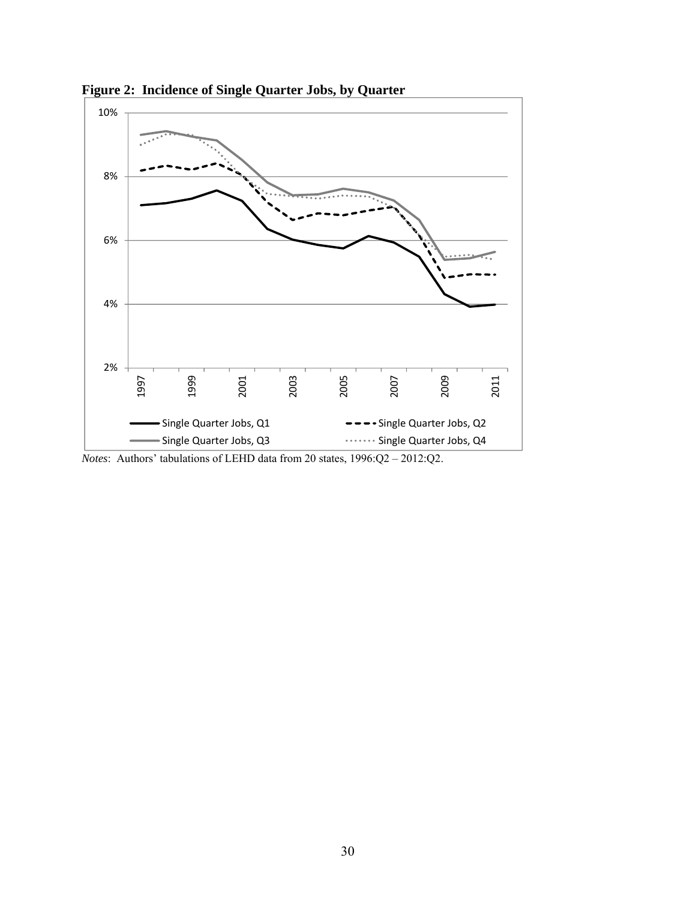

**Figure 2: Incidence of Single Quarter Jobs, by Quarter** 

*Notes*: Authors' tabulations of LEHD data from 20 states, 1996:Q2 – 2012:Q2.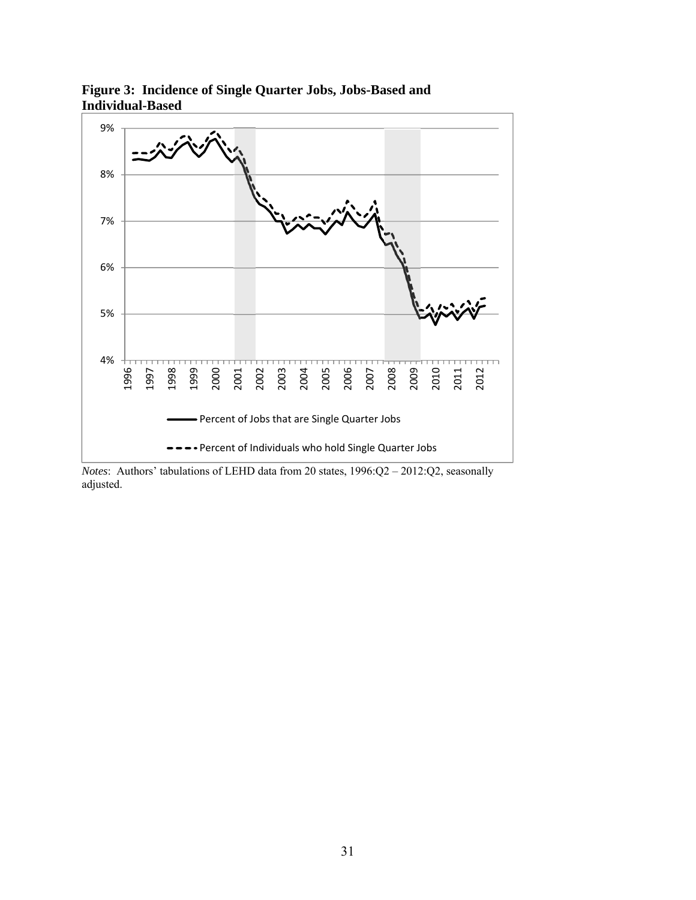

**Figure 3: Incidence of Single Quarter Jobs, Jobs-Based and Individual-Based** 

*Notes*: Authors' tabulations of LEHD data from 20 states, 1996:Q2 – 2012:Q2, seasonally adjusted.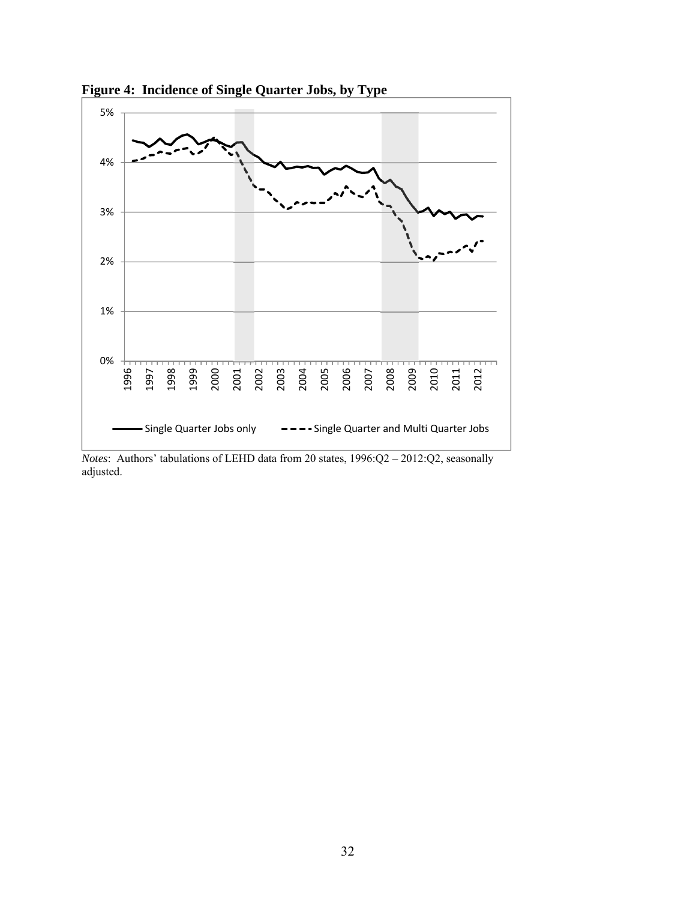

**Figure 4: Incidence of Single Quarter Jobs, by Type** 

*Notes*: Authors' tabulations of LEHD data from 20 states, 1996:Q2 – 2012:Q2, seasonally adjusted.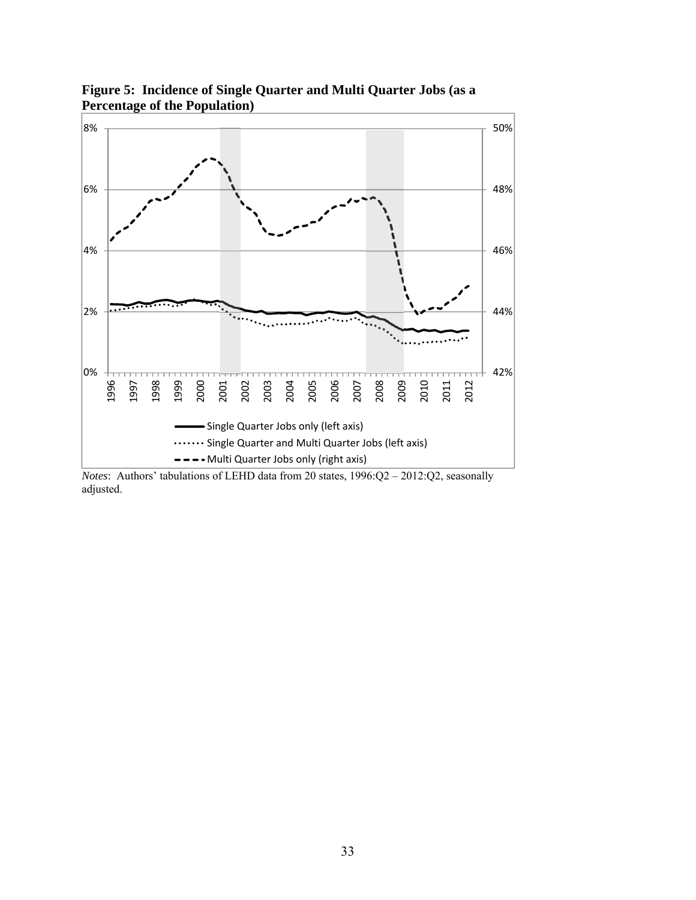

**Figure 5: Incidence of Single Quarter and Multi Quarter Jobs (as a Percentage of the Population)** 

*Notes*: Authors' tabulations of LEHD data from 20 states, 1996:Q2 – 2012:Q2, seasonally adjusted.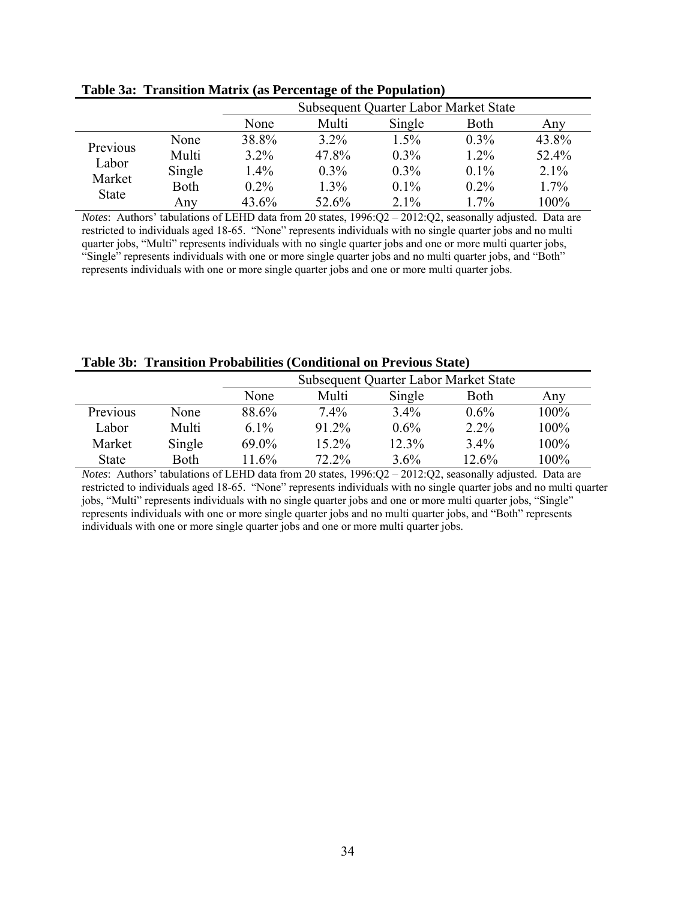|                   |             | Subsequent Quarter Labor Market State |         |         |         |       |
|-------------------|-------------|---------------------------------------|---------|---------|---------|-------|
|                   |             | None                                  | Multi   | Single  | Both    | Any   |
|                   | None        | 38.8%                                 | $3.2\%$ | 1.5%    | $0.3\%$ | 43.8% |
| Previous<br>Labor | Multi       | $3.2\%$                               | 47.8%   | $0.3\%$ | $1.2\%$ | 52.4% |
|                   | Single      | $1.4\%$                               | $0.3\%$ | $0.3\%$ | $0.1\%$ | 2.1%  |
| Market            | <b>Both</b> | $0.2\%$                               | $1.3\%$ | $0.1\%$ | $0.2\%$ | 1.7%  |
| <b>State</b>      | Any         | 43.6%                                 | 52.6%   | $2.1\%$ | $1.7\%$ | 100%  |

**Table 3a: Transition Matrix (as Percentage of the Population)** 

*Notes*: Authors' tabulations of LEHD data from 20 states, 1996:Q2 - 2012:Q2, seasonally adjusted. Data are restricted to individuals aged 18-65. "None" represents individuals with no single quarter jobs and no multi quarter jobs, "Multi" represents individuals with no single quarter jobs and one or more multi quarter jobs, "Single" represents individuals with one or more single quarter jobs and no multi quarter jobs, and "Both" represents individuals with one or more single quarter jobs and one or more multi quarter jobs.

|  |  | Table 3b: Transition Probabilities (Conditional on Previous State) |  |  |
|--|--|--------------------------------------------------------------------|--|--|
|--|--|--------------------------------------------------------------------|--|--|

|              |        |          | Subsequent Quarter Labor Market State |         |         |         |  |  |
|--------------|--------|----------|---------------------------------------|---------|---------|---------|--|--|
|              |        | None     | Multi                                 | Single  | Both    | Any     |  |  |
| Previous     | None   | 88.6%    | $7.4\%$                               | $3.4\%$ | $0.6\%$ | $100\%$ |  |  |
| Labor        | Multi  | $6.1\%$  | 91.2%                                 | $0.6\%$ | $2.2\%$ | 100%    |  |  |
| Market       | Single | $69.0\%$ | 15.2%                                 | 12.3%   | 3.4%    | 100%    |  |  |
| <b>State</b> | Both   | 11.6%    | 72.2%                                 | $3.6\%$ | 12.6%   | 100%    |  |  |

*Notes*: Authors' tabulations of LEHD data from 20 states, 1996:Q2 – 2012:Q2, seasonally adjusted. Data are restricted to individuals aged 18-65. "None" represents individuals with no single quarter jobs and no multi quarter jobs, "Multi" represents individuals with no single quarter jobs and one or more multi quarter jobs, "Single" represents individuals with one or more single quarter jobs and no multi quarter jobs, and "Both" represents individuals with one or more single quarter jobs and one or more multi quarter jobs.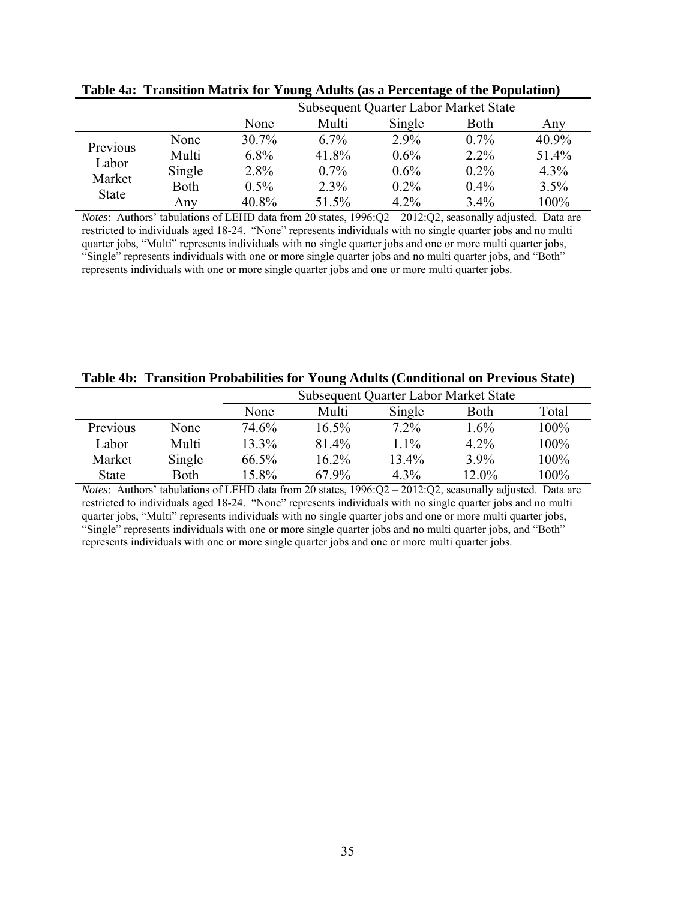|              |             |          | Subsequent Quarter Labor Market State |         |         |         |  |
|--------------|-------------|----------|---------------------------------------|---------|---------|---------|--|
|              |             | None     | Multi                                 | Single  | Both    | Any     |  |
|              | None        | $30.7\%$ | $6.7\%$                               | $2.9\%$ | $0.7\%$ | 40.9%   |  |
| Previous     | Multi       | $6.8\%$  | 41.8%                                 | $0.6\%$ | $2.2\%$ | 51.4%   |  |
| Labor        | Single      | 2.8%     | $0.7\%$                               | $0.6\%$ | $0.2\%$ | $4.3\%$ |  |
| Market       | <b>Both</b> | $0.5\%$  | $2.3\%$                               | $0.2\%$ | 0.4%    | 3.5%    |  |
| <b>State</b> | Any         | 40.8%    | 51.5%                                 | $4.2\%$ | $3.4\%$ | 100%    |  |

**Table 4a: Transition Matrix for Young Adults (as a Percentage of the Population)** 

*Notes*: Authors' tabulations of LEHD data from 20 states, 1996:Q2 - 2012:Q2, seasonally adjusted. Data are restricted to individuals aged 18-24. "None" represents individuals with no single quarter jobs and no multi quarter jobs, "Multi" represents individuals with no single quarter jobs and one or more multi quarter jobs, "Single" represents individuals with one or more single quarter jobs and no multi quarter jobs, and "Both" represents individuals with one or more single quarter jobs and one or more multi quarter jobs.

|  |  |  | Table 4b: Transition Probabilities for Young Adults (Conditional on Previous State) |  |
|--|--|--|-------------------------------------------------------------------------------------|--|
|  |  |  |                                                                                     |  |

|          |        | Subsequent Quarter Labor Market State |          |         |         |       |
|----------|--------|---------------------------------------|----------|---------|---------|-------|
|          |        | None                                  | Multi    | Single  | Both    | Total |
| Previous | None   | 74.6%                                 | $16.5\%$ | $7.2\%$ | $1.6\%$ | 100%  |
| Labor    | Multi  | $13.3\%$                              | 81.4%    | $1.1\%$ | $4.2\%$ | 100%  |
| Market   | Single | 66.5%                                 | $16.2\%$ | 13.4%   | 3.9%    | 100%  |
| State    | Both   | 15.8%                                 | 67.9%    | $4.3\%$ | 12.0%   | 100%  |

*Notes*: Authors' tabulations of LEHD data from 20 states, 1996:Q2 - 2012:Q2, seasonally adjusted. Data are restricted to individuals aged 18-24. "None" represents individuals with no single quarter jobs and no multi quarter jobs, "Multi" represents individuals with no single quarter jobs and one or more multi quarter jobs, "Single" represents individuals with one or more single quarter jobs and no multi quarter jobs, and "Both" represents individuals with one or more single quarter jobs and one or more multi quarter jobs.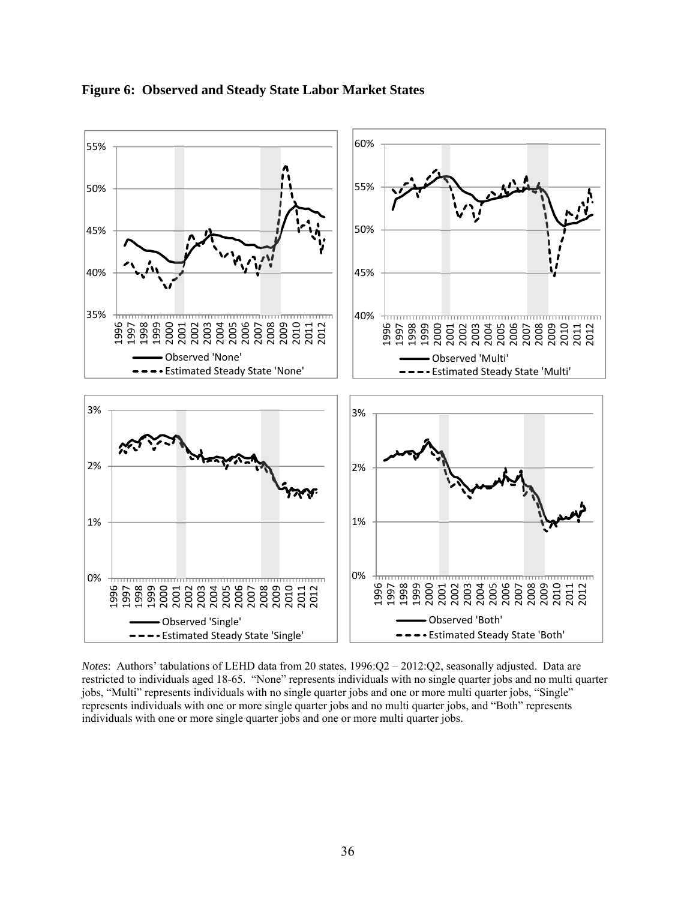

#### **Figure 6: Observed and Steady State Labor Market States**

*Notes*: Authors' tabulations of LEHD data from 20 states, 1996:Q2 – 2012:Q2, seasonally adjusted. Data are restricted to individuals aged 18-65. "None" represents individuals with no single quarter jobs and no multi quarter jobs, "Multi" represents individuals with no single quarter jobs and one or more multi quarter jobs, "Single" represents individuals with one or more single quarter jobs and no multi quarter jobs, and "Both" represents individuals with one or more single quarter jobs and one or more multi quarter jobs.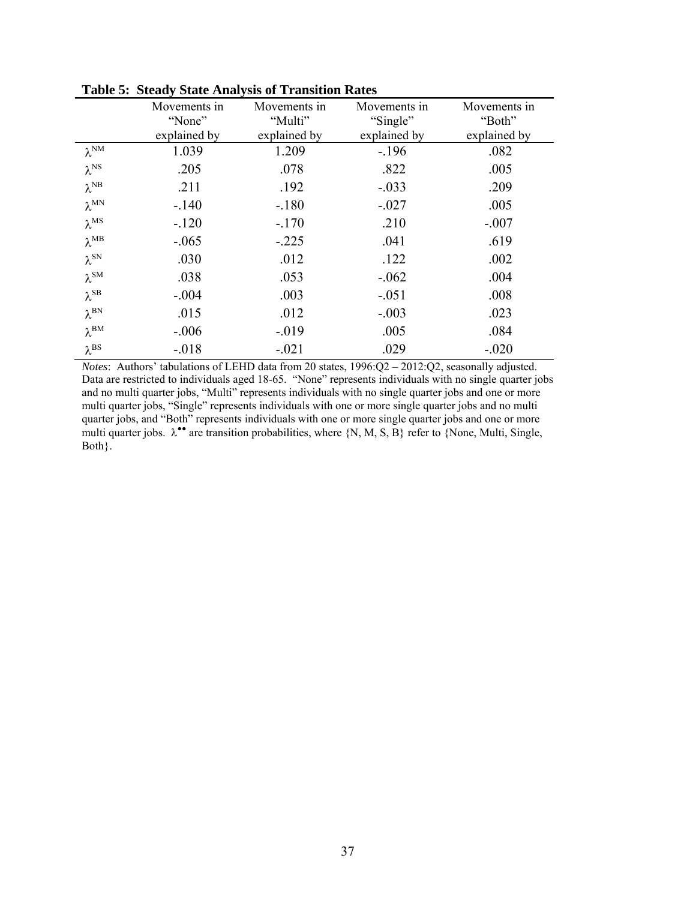|                       | Movements in | Movements in | Movements in | Movements in |
|-----------------------|--------------|--------------|--------------|--------------|
|                       | "None"       | "Multi"      | "Single"     | "Both"       |
|                       | explained by | explained by | explained by | explained by |
| $\lambda^{\text{NM}}$ | 1.039        | 1.209        | $-196$       | .082         |
| $\lambda^{\rm NS}$    | .205         | .078         | .822         | .005         |
| $\lambda^{\text{NB}}$ | .211         | .192         | $-.033$      | .209         |
| $\lambda^{MN}$        | $-.140$      | $-.180$      | $-.027$      | .005         |
| $\lambda^{\rm MS}$    | $-120$       | $-.170$      | .210         | $-.007$      |
| $\lambda^{MB}$        | $-.065$      | $-.225$      | .041         | .619         |
| $\lambda^{\rm SN}$    | .030         | .012         | .122         | .002         |
| $\lambda^{\text{SM}}$ | .038         | .053         | $-.062$      | .004         |
| $\lambda^{\text{SB}}$ | $-.004$      | .003         | $-.051$      | .008         |
| $\lambda^{\rm BN}$    | .015         | .012         | $-.003$      | .023         |
| $\lambda^{\text{BM}}$ | $-.006$      | $-.019$      | .005         | .084         |
| $\lambda^{BS}$        | $-.018$      | $-.021$      | .029         | $-.020$      |
|                       |              |              |              |              |

**Table 5: Steady State Analysis of Transition Rates** 

*Notes*: Authors' tabulations of LEHD data from 20 states, 1996:Q2 – 2012:Q2, seasonally adjusted. Data are restricted to individuals aged 18-65. "None" represents individuals with no single quarter jobs and no multi quarter jobs, "Multi" represents individuals with no single quarter jobs and one or more multi quarter jobs, "Single" represents individuals with one or more single quarter jobs and no multi quarter jobs, and "Both" represents individuals with one or more single quarter jobs and one or more multi quarter jobs.  $\lambda^{\bullet\bullet}$  are transition probabilities, where  $\{N, M, S, B\}$  refer to  $\{None, Multi, Single,$ Both}.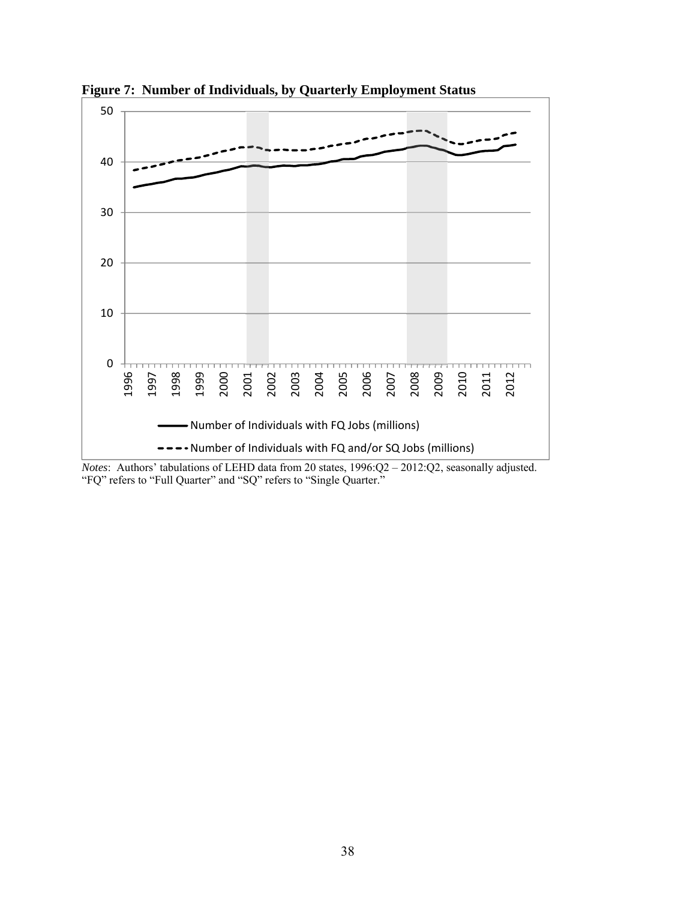

**Figure 7: Number of Individuals, by Quarterly Employment Status** 

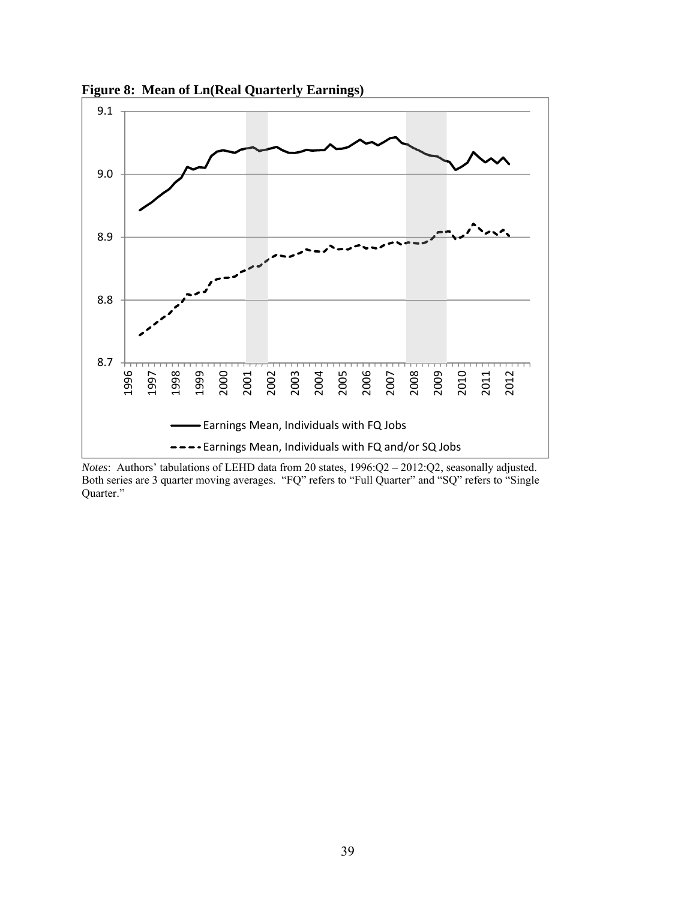

**Figure 8: Mean of Ln(Real Quarterly Earnings)** 

*Notes*: Authors' tabulations of LEHD data from 20 states, 1996:Q2 – 2012:Q2, seasonally adjusted. Both series are 3 quarter moving averages. "FQ" refers to "Full Quarter" and "SQ" refers to "Single Quarter."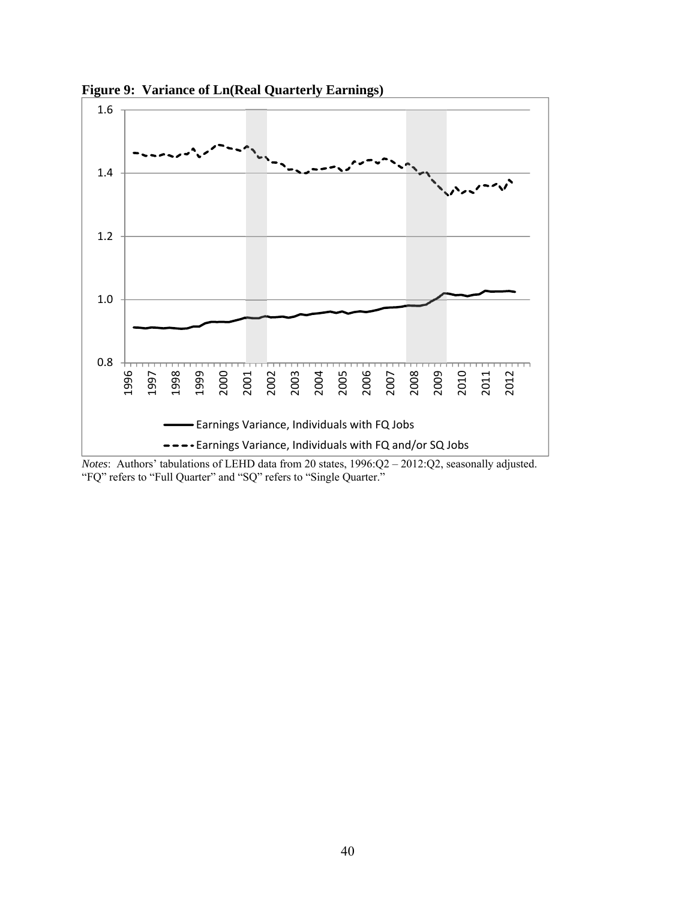

**Figure 9: Variance of Ln(Real Quarterly Earnings)**